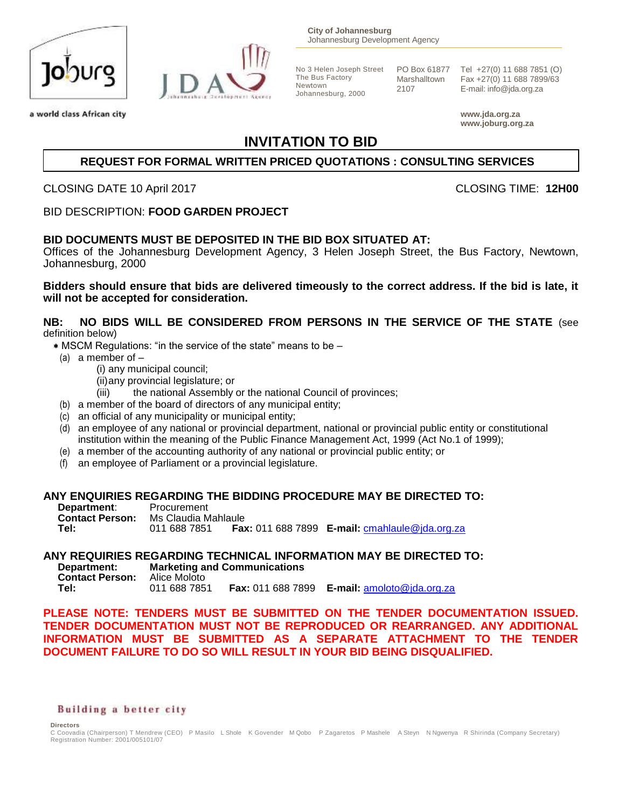

a world class African city



No 3 Helen Joseph Street The Bus Factory Newtown Johannesburg, 2000

PO Box 61877 Marshalltown 2107

Tel +27(0) 11 688 7851 (O) Fax +27(0) 11 688 7899/63 E-mail: info@jda.org.za

**www.jda.org.za www.joburg.org.za**

# **INVITATION TO BID**

# **REQUEST FOR FORMAL WRITTEN PRICED QUOTATIONS : CONSULTING SERVICES**

CLOSING DATE 10 April 2017 CLOSING TIME: **12H00**

BID DESCRIPTION: **FOOD GARDEN PROJECT**

# **BID DOCUMENTS MUST BE DEPOSITED IN THE BID BOX SITUATED AT:**

Offices of the Johannesburg Development Agency, 3 Helen Joseph Street, the Bus Factory, Newtown, Johannesburg, 2000

**Bidders should ensure that bids are delivered timeously to the correct address. If the bid is late, it will not be accepted for consideration.**

#### **NB: NO BIDS WILL BE CONSIDERED FROM PERSONS IN THE SERVICE OF THE STATE** (see definition below)

- MSCM Regulations: "in the service of the state" means to be –
- (a) a member of  $-$ 
	- (i) any municipal council;
		- (ii)any provincial legislature; or
		- (iii) the national Assembly or the national Council of provinces;
- (b) a member of the board of directors of any municipal entity;
- (c) an official of any municipality or municipal entity;
- (d) an employee of any national or provincial department, national or provincial public entity or constitutional institution within the meaning of the Public Finance Management Act, 1999 (Act No.1 of 1999);
- (e) a member of the accounting authority of any national or provincial public entity; or
- (f) an employee of Parliament or a provincial legislature.

#### **ANY ENQUIRIES REGARDING THE BIDDING PROCEDURE MAY BE DIRECTED TO:**

| Department:            | Procurement         |                                                              |
|------------------------|---------------------|--------------------------------------------------------------|
| <b>Contact Person:</b> | Ms Claudia Mahlaule |                                                              |
| Tel:                   | 011 688 7851        | <b>Fax:</b> 011 688 7899 <b>E-mail:</b> cmahlaule@ida.org.za |

# **ANY REQUIRIES REGARDING TECHNICAL INFORMATION MAY BE DIRECTED TO:**

**Marketing and Communications**<br>Alice Moloto **Contact Person:** Alice Moloto<br>Tel: 011 688 7851 **Fax:** 011 688 7899 **E-mail:** [amoloto@jda.org.za](mailto:amoloto@jda.org.za)

**PLEASE NOTE: TENDERS MUST BE SUBMITTED ON THE TENDER DOCUMENTATION ISSUED. TENDER DOCUMENTATION MUST NOT BE REPRODUCED OR REARRANGED. ANY ADDITIONAL INFORMATION MUST BE SUBMITTED AS A SEPARATE ATTACHMENT TO THE TENDER DOCUMENT FAILURE TO DO SO WILL RESULT IN YOUR BID BEING DISQUALIFIED.**

#### Building a better city

**Directors** 

C Coovadia (Chairperson) T Mendrew (CEO) P Masilo L Shole K Govender M Qobo P Zagaretos P Mashele A Steyn N Ngwenya R Shirinda (Company Secretary) Registration Number: 2001/005101/07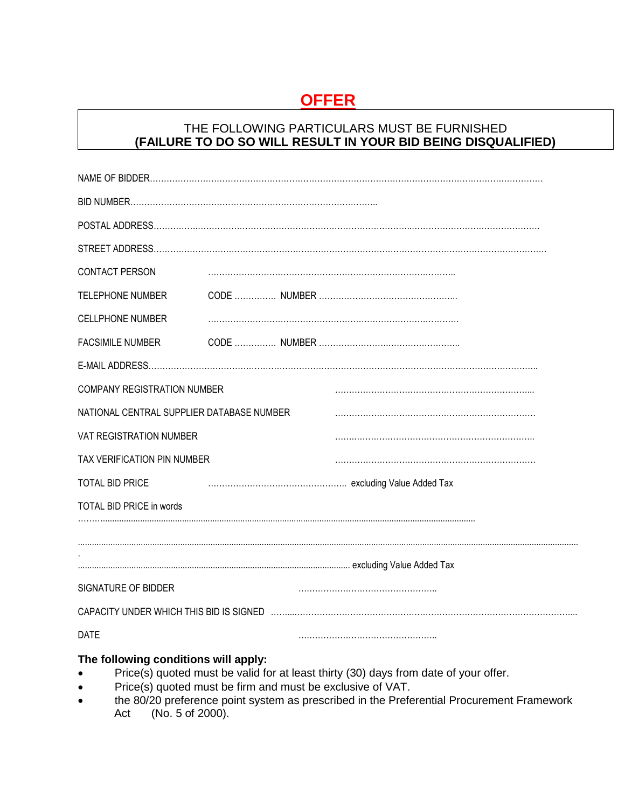# **OFFER**

# THE FOLLOWING PARTICULARS MUST BE FURNISHED **(FAILURE TO DO SO WILL RESULT IN YOUR BID BEING DISQUALIFIED)**

| CONTACT PERSON                            |  |
|-------------------------------------------|--|
| <b>TELEPHONE NUMBER</b>                   |  |
| <b>CELLPHONE NUMBER</b>                   |  |
| <b>FACSIMILE NUMBER</b>                   |  |
|                                           |  |
| <b>COMPANY REGISTRATION NUMBER</b>        |  |
| NATIONAL CENTRAL SUPPLIER DATABASE NUMBER |  |
| VAT REGISTRATION NUMBER                   |  |
| TAX VERIFICATION PIN NUMBER               |  |
| <b>TOTAL BID PRICE</b>                    |  |
| TOTAL BID PRICE in words                  |  |
|                                           |  |
|                                           |  |
| SIGNATURE OF BIDDER                       |  |
|                                           |  |
| <b>DATE</b>                               |  |
| The fellowing conditions will enaby.      |  |

#### **The following conditions will apply:**

- Price(s) quoted must be valid for at least thirty (30) days from date of your offer.
- Price(s) quoted must be firm and must be exclusive of VAT.
- the 80/20 preference point system as prescribed in the Preferential Procurement Framework<br>Act (No. 5 of 2000).  $(No. 5 of 2000)$ .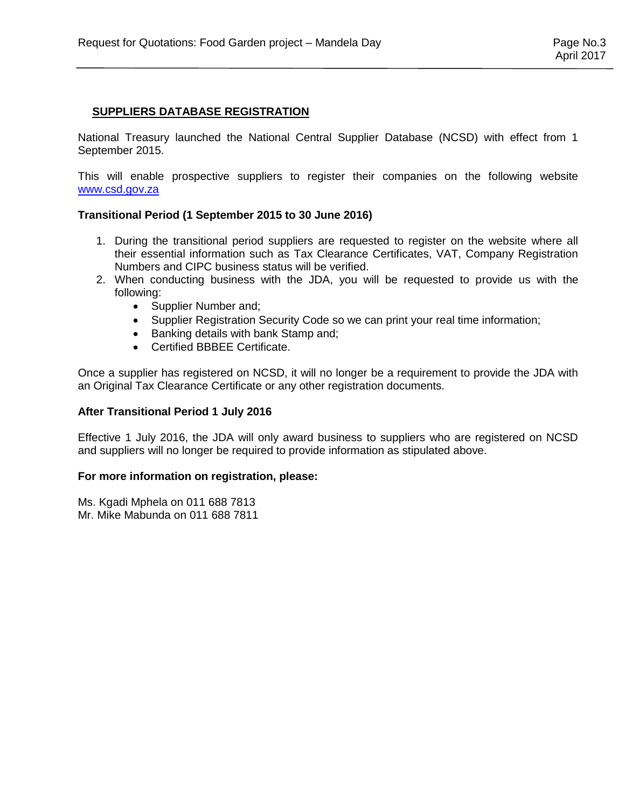# **SUPPLIERS DATABASE REGISTRATION**

National Treasury launched the National Central Supplier Database (NCSD) with effect from 1 September 2015.

This will enable prospective suppliers to register their companies on the following website [www.csd.gov.za](http://www.csd.gov.za/)

# **Transitional Period (1 September 2015 to 30 June 2016)**

- 1. During the transitional period suppliers are requested to register on the website where all their essential information such as Tax Clearance Certificates, VAT, Company Registration Numbers and CIPC business status will be verified.
- 2. When conducting business with the JDA, you will be requested to provide us with the following:
	- Supplier Number and;
	- Supplier Registration Security Code so we can print your real time information;
	- Banking details with bank Stamp and;
	- Certified BBBEE Certificate.

Once a supplier has registered on NCSD, it will no longer be a requirement to provide the JDA with an Original Tax Clearance Certificate or any other registration documents.

#### **After Transitional Period 1 July 2016**

Effective 1 July 2016, the JDA will only award business to suppliers who are registered on NCSD and suppliers will no longer be required to provide information as stipulated above.

#### **For more information on registration, please:**

Ms. Kgadi Mphela on 011 688 7813 Mr. Mike Mabunda on 011 688 7811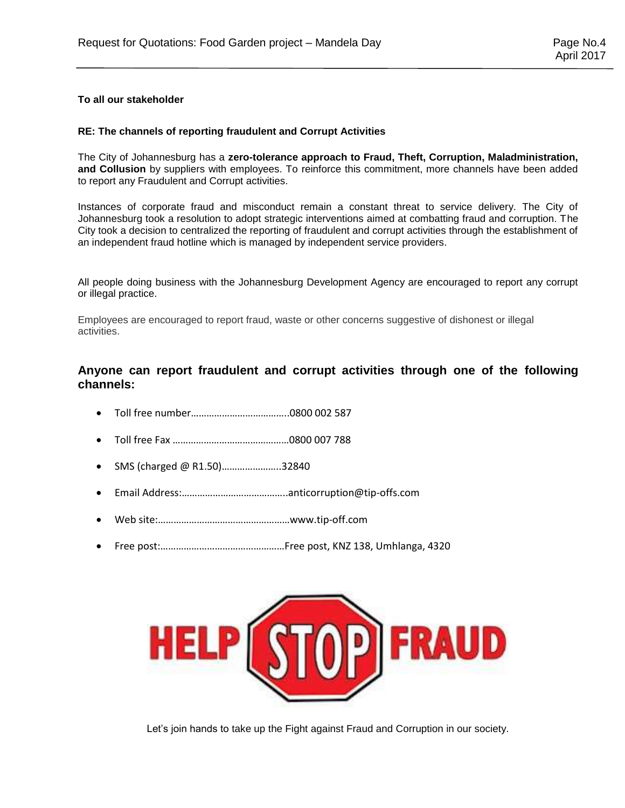#### **To all our stakeholder**

#### **RE: The channels of reporting fraudulent and Corrupt Activities**

The City of Johannesburg has a **zero-tolerance approach to Fraud, Theft, Corruption, Maladministration, and Collusion** by suppliers with employees. To reinforce this commitment, more channels have been added to report any Fraudulent and Corrupt activities.

Instances of corporate fraud and misconduct remain a constant threat to service delivery. The City of Johannesburg took a resolution to adopt strategic interventions aimed at combatting fraud and corruption. The City took a decision to centralized the reporting of fraudulent and corrupt activities through the establishment of an independent fraud hotline which is managed by independent service providers.

All people doing business with the Johannesburg Development Agency are encouraged to report any corrupt or illegal practice.

Employees are encouraged to report fraud, waste or other concerns suggestive of dishonest or illegal activities.

### **Anyone can report fraudulent and corrupt activities through one of the following channels:**

- Toll free number………………………………..0800 002 587
- Toll free Fax ………………………………………0800 007 788
- SMS (charged @ R1.50)…………………..32840
- Email Address:…………………………………..anticorruption@tip-offs.com
- Web site:……………………………………………www.tip-off.com
- Free post:…………………………………………Free post, KNZ 138, Umhlanga, 4320



Let's join hands to take up the Fight against Fraud and Corruption in our society.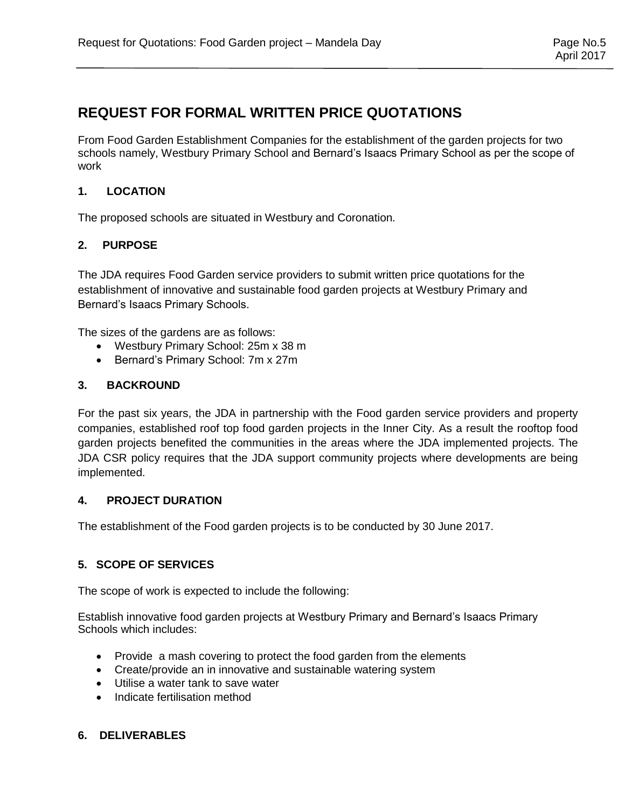# **REQUEST FOR FORMAL WRITTEN PRICE QUOTATIONS**

From Food Garden Establishment Companies for the establishment of the garden projects for two schools namely, Westbury Primary School and Bernard's Isaacs Primary School as per the scope of work

# **1. LOCATION**

The proposed schools are situated in Westbury and Coronation.

# **2. PURPOSE**

The JDA requires Food Garden service providers to submit written price quotations for the establishment of innovative and sustainable food garden projects at Westbury Primary and Bernard's Isaacs Primary Schools.

The sizes of the gardens are as follows:

- Westbury Primary School: 25m x 38 m
- Bernard's Primary School: 7m x 27m

# **3. BACKROUND**

For the past six years, the JDA in partnership with the Food garden service providers and property companies, established roof top food garden projects in the Inner City. As a result the rooftop food garden projects benefited the communities in the areas where the JDA implemented projects. The JDA CSR policy requires that the JDA support community projects where developments are being implemented.

# **4. PROJECT DURATION**

The establishment of the Food garden projects is to be conducted by 30 June 2017.

# **5. SCOPE OF SERVICES**

The scope of work is expected to include the following:

Establish innovative food garden projects at Westbury Primary and Bernard's Isaacs Primary Schools which includes:

- Provide a mash covering to protect the food garden from the elements
- Create/provide an in innovative and sustainable watering system
- Utilise a water tank to save water
- Indicate fertilisation method

# **6. DELIVERABLES**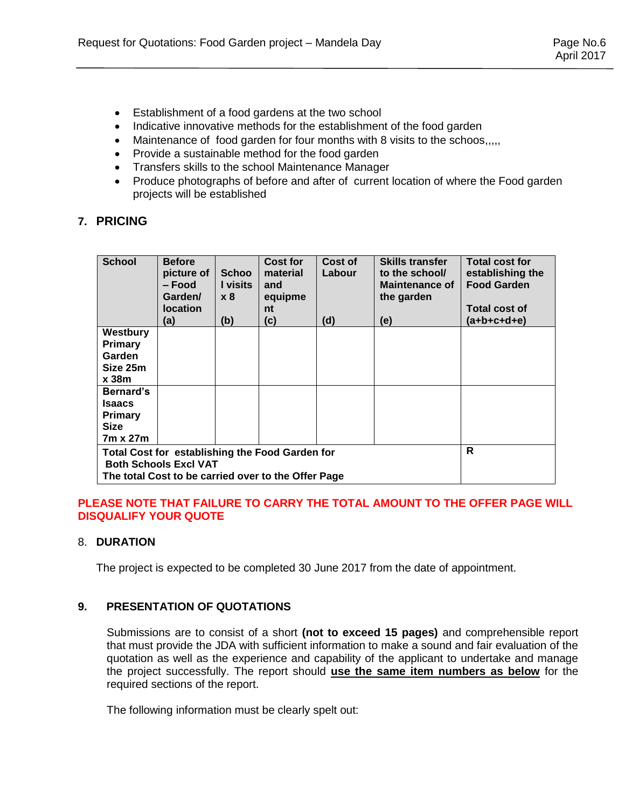- Establishment of a food gardens at the two school
- Indicative innovative methods for the establishment of the food garden
- Maintenance of food garden for four months with 8 visits to the schoos,,,,
- Provide a sustainable method for the food garden
- Transfers skills to the school Maintenance Manager
- Produce photographs of before and after of current location of where the Food garden projects will be established

# **7. PRICING**

| <b>School</b>                                                                                                                          | <b>Before</b><br>picture of<br>– Food<br>Garden/<br><b>location</b><br>(a) | <b>Schoo</b><br>I visits<br>x8<br>(b) | Cost for<br>material<br>and<br>equipme<br>nt<br>(c) | Cost of<br>Labour<br>(d) | <b>Skills transfer</b><br>to the school/<br><b>Maintenance of</b><br>the garden<br>(e) | <b>Total cost for</b><br>establishing the<br><b>Food Garden</b><br><b>Total cost of</b><br>(a+b+c+d+e) |
|----------------------------------------------------------------------------------------------------------------------------------------|----------------------------------------------------------------------------|---------------------------------------|-----------------------------------------------------|--------------------------|----------------------------------------------------------------------------------------|--------------------------------------------------------------------------------------------------------|
| Westbury                                                                                                                               |                                                                            |                                       |                                                     |                          |                                                                                        |                                                                                                        |
| Primary                                                                                                                                |                                                                            |                                       |                                                     |                          |                                                                                        |                                                                                                        |
| Garden                                                                                                                                 |                                                                            |                                       |                                                     |                          |                                                                                        |                                                                                                        |
| Size 25m                                                                                                                               |                                                                            |                                       |                                                     |                          |                                                                                        |                                                                                                        |
| x <sub>38m</sub>                                                                                                                       |                                                                            |                                       |                                                     |                          |                                                                                        |                                                                                                        |
| Bernard's                                                                                                                              |                                                                            |                                       |                                                     |                          |                                                                                        |                                                                                                        |
| <b>Isaacs</b>                                                                                                                          |                                                                            |                                       |                                                     |                          |                                                                                        |                                                                                                        |
| Primary                                                                                                                                |                                                                            |                                       |                                                     |                          |                                                                                        |                                                                                                        |
| <b>Size</b>                                                                                                                            |                                                                            |                                       |                                                     |                          |                                                                                        |                                                                                                        |
| 7m x 27m                                                                                                                               |                                                                            |                                       |                                                     |                          |                                                                                        |                                                                                                        |
| Total Cost for establishing the Food Garden for<br><b>Both Schools Excl VAT</b><br>The total Cost to be carried over to the Offer Page |                                                                            |                                       | R                                                   |                          |                                                                                        |                                                                                                        |

# **PLEASE NOTE THAT FAILURE TO CARRY THE TOTAL AMOUNT TO THE OFFER PAGE WILL DISQUALIFY YOUR QUOTE**

# 8. **DURATION**

The project is expected to be completed 30 June 2017 from the date of appointment.

# **9. PRESENTATION OF QUOTATIONS**

Submissions are to consist of a short **(not to exceed 15 pages)** and comprehensible report that must provide the JDA with sufficient information to make a sound and fair evaluation of the quotation as well as the experience and capability of the applicant to undertake and manage the project successfully. The report should **use the same item numbers as below** for the required sections of the report.

The following information must be clearly spelt out: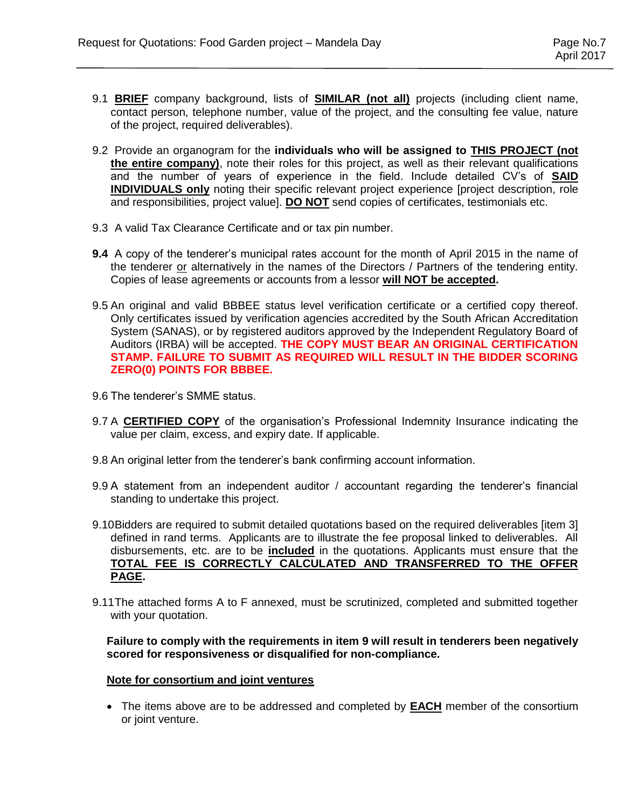- 9.1 **BRIEF** company background, lists of **SIMILAR (not all)** projects (including client name, contact person, telephone number, value of the project, and the consulting fee value, nature of the project, required deliverables).
- 9.2 Provide an organogram for the **individuals who will be assigned to THIS PROJECT (not the entire company)**, note their roles for this project, as well as their relevant qualifications and the number of years of experience in the field. Include detailed CV's of **SAID INDIVIDUALS only** noting their specific relevant project experience [project description, role and responsibilities, project value]. **DO NOT** send copies of certificates, testimonials etc.
- 9.3 A valid Tax Clearance Certificate and or tax pin number.
- **9.4** A copy of the tenderer's municipal rates account for the month of April 2015 in the name of the tenderer or alternatively in the names of the Directors / Partners of the tendering entity. Copies of lease agreements or accounts from a lessor **will NOT be accepted.**
- 9.5 An original and valid BBBEE status level verification certificate or a certified copy thereof. Only certificates issued by verification agencies accredited by the South African Accreditation System (SANAS), or by registered auditors approved by the Independent Regulatory Board of Auditors (IRBA) will be accepted. **THE COPY MUST BEAR AN ORIGINAL CERTIFICATION STAMP. FAILURE TO SUBMIT AS REQUIRED WILL RESULT IN THE BIDDER SCORING ZERO(0) POINTS FOR BBBEE.**
- 9.6 The tenderer's SMME status.
- 9.7 A **CERTIFIED COPY** of the organisation's Professional Indemnity Insurance indicating the value per claim, excess, and expiry date. If applicable.
- 9.8 An original letter from the tenderer's bank confirming account information.
- 9.9 A statement from an independent auditor / accountant regarding the tenderer's financial standing to undertake this project.
- 9.10Bidders are required to submit detailed quotations based on the required deliverables [item 3] defined in rand terms. Applicants are to illustrate the fee proposal linked to deliverables. All disbursements, etc. are to be **included** in the quotations. Applicants must ensure that the **TOTAL FEE IS CORRECTLY CALCULATED AND TRANSFERRED TO THE OFFER PAGE.**
- 9.11The attached forms A to F annexed, must be scrutinized, completed and submitted together with your quotation.

**Failure to comply with the requirements in item 9 will result in tenderers been negatively scored for responsiveness or disqualified for non-compliance.**

#### **Note for consortium and joint ventures**

 The items above are to be addressed and completed by **EACH** member of the consortium or joint venture.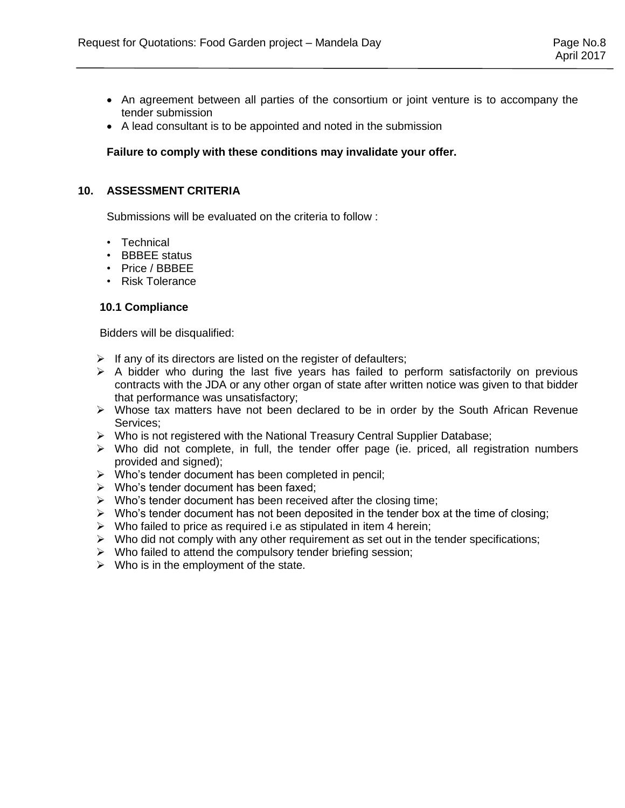- An agreement between all parties of the consortium or joint venture is to accompany the tender submission
- A lead consultant is to be appointed and noted in the submission

#### **Failure to comply with these conditions may invalidate your offer.**

#### **10. ASSESSMENT CRITERIA**

Submissions will be evaluated on the criteria to follow :

- Technical
- BBBEE status
- Price / BBBEE
- Risk Tolerance

#### **10.1 Compliance**

Bidders will be disqualified:

- $\triangleright$  If any of its directors are listed on the register of defaulters;
- $\triangleright$  A bidder who during the last five years has failed to perform satisfactorily on previous contracts with the JDA or any other organ of state after written notice was given to that bidder that performance was unsatisfactory;
- $\triangleright$  Whose tax matters have not been declared to be in order by the South African Revenue Services;
- $\triangleright$  Who is not registered with the National Treasury Central Supplier Database;
- $\triangleright$  Who did not complete, in full, the tender offer page (ie. priced, all registration numbers provided and signed);
- $\triangleright$  Who's tender document has been completed in pencil;
- $\triangleright$  Who's tender document has been faxed;
- $\triangleright$  Who's tender document has been received after the closing time;
- $\triangleright$  Who's tender document has not been deposited in the tender box at the time of closing;
- $\triangleright$  Who failed to price as required i.e as stipulated in item 4 herein;
- $\triangleright$  Who did not comply with any other requirement as set out in the tender specifications;
- $\triangleright$  Who failed to attend the compulsory tender briefing session;
- $\triangleright$  Who is in the employment of the state.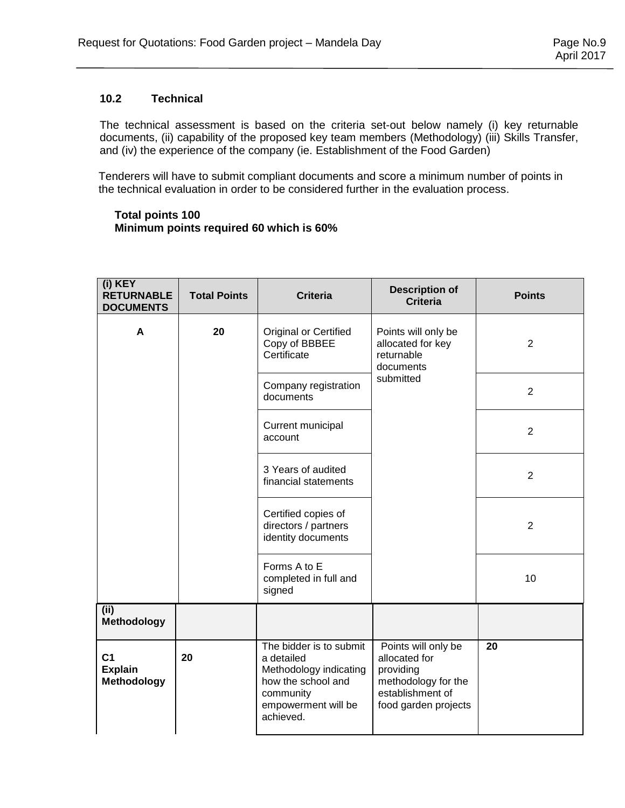# **10.2 Technical**

The technical assessment is based on the criteria set-out below namely (i) key returnable documents, (ii) capability of the proposed key team members (Methodology) (iii) Skills Transfer, and (iv) the experience of the company (ie. Establishment of the Food Garden)

 Tenderers will have to submit compliant documents and score a minimum number of points in the technical evaluation in order to be considered further in the evaluation process.

#### **Total points 100 Minimum points required 60 which is 60%**

| (i) KEY<br><b>RETURNABLE</b><br><b>DOCUMENTS</b>       | <b>Total Points</b> | <b>Criteria</b>                                                                                                                        | <b>Description of</b><br><b>Criteria</b>                                                                             | <b>Points</b>  |
|--------------------------------------------------------|---------------------|----------------------------------------------------------------------------------------------------------------------------------------|----------------------------------------------------------------------------------------------------------------------|----------------|
| A                                                      | 20                  | Original or Certified<br>Copy of BBBEE<br>Certificate                                                                                  | Points will only be<br>allocated for key<br>returnable<br>documents                                                  | $\overline{2}$ |
|                                                        |                     | Company registration<br>documents                                                                                                      | submitted                                                                                                            | $\overline{2}$ |
|                                                        |                     | Current municipal<br>account                                                                                                           |                                                                                                                      | $\overline{2}$ |
|                                                        |                     | 3 Years of audited<br>financial statements                                                                                             |                                                                                                                      | $\overline{2}$ |
|                                                        |                     | Certified copies of<br>directors / partners<br>identity documents                                                                      |                                                                                                                      | 2              |
|                                                        |                     | Forms A to E<br>completed in full and<br>signed                                                                                        |                                                                                                                      | 10             |
| (ii)<br>Methodology                                    |                     |                                                                                                                                        |                                                                                                                      |                |
| C <sub>1</sub><br><b>Explain</b><br><b>Methodology</b> | 20                  | The bidder is to submit<br>a detailed<br>Methodology indicating<br>how the school and<br>community<br>empowerment will be<br>achieved. | Points will only be<br>allocated for<br>providing<br>methodology for the<br>establishment of<br>food garden projects | 20             |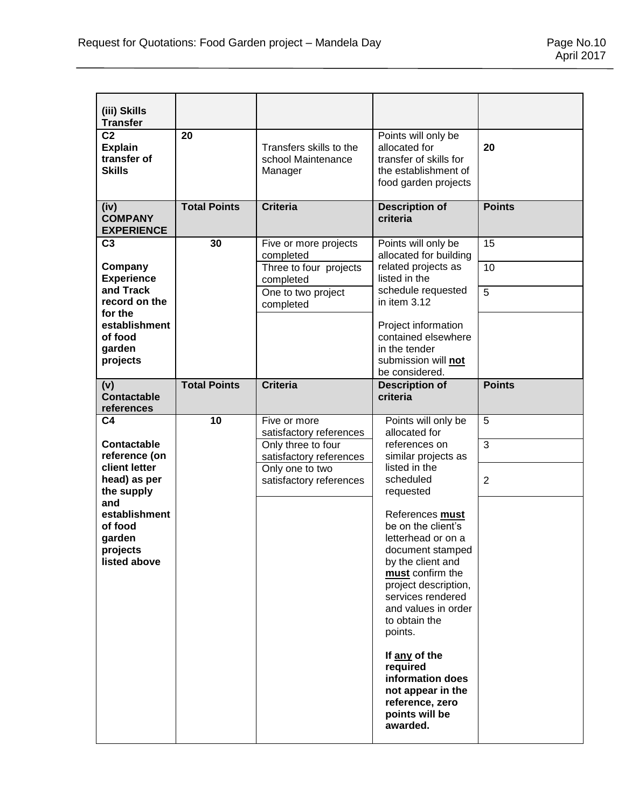| (iii) Skills<br><b>Transfer</b>                                       |                     |                                                          |                                                                                                                                                                                                                                                                                                                                                 |                |
|-----------------------------------------------------------------------|---------------------|----------------------------------------------------------|-------------------------------------------------------------------------------------------------------------------------------------------------------------------------------------------------------------------------------------------------------------------------------------------------------------------------------------------------|----------------|
| C <sub>2</sub><br><b>Explain</b><br>transfer of<br><b>Skills</b>      | 20                  | Transfers skills to the<br>school Maintenance<br>Manager | Points will only be<br>allocated for<br>transfer of skills for<br>the establishment of<br>food garden projects                                                                                                                                                                                                                                  | 20             |
| (iv)<br><b>COMPANY</b><br><b>EXPERIENCE</b>                           | <b>Total Points</b> | <b>Criteria</b>                                          | <b>Description of</b><br>criteria                                                                                                                                                                                                                                                                                                               | <b>Points</b>  |
| C <sub>3</sub>                                                        | 30                  | Five or more projects<br>completed                       | Points will only be<br>allocated for building                                                                                                                                                                                                                                                                                                   | 15             |
| Company<br><b>Experience</b>                                          |                     | Three to four projects<br>completed                      | related projects as<br>listed in the                                                                                                                                                                                                                                                                                                            | 10             |
| and Track<br>record on the                                            |                     | One to two project<br>completed                          | schedule requested<br>in item 3.12                                                                                                                                                                                                                                                                                                              | $\overline{5}$ |
| for the<br>establishment<br>of food<br>garden<br>projects             |                     |                                                          | Project information<br>contained elsewhere<br>in the tender<br>submission will not<br>be considered.                                                                                                                                                                                                                                            |                |
| (v)<br><b>Contactable</b>                                             | <b>Total Points</b> | <b>Criteria</b>                                          | <b>Description of</b><br>criteria                                                                                                                                                                                                                                                                                                               | <b>Points</b>  |
| references                                                            |                     |                                                          |                                                                                                                                                                                                                                                                                                                                                 |                |
| C <sub>4</sub>                                                        | 10                  | Five or more<br>satisfactory references                  | Points will only be<br>allocated for                                                                                                                                                                                                                                                                                                            | 5              |
| <b>Contactable</b><br>reference (on                                   |                     | Only three to four<br>satisfactory references            | references on<br>similar projects as                                                                                                                                                                                                                                                                                                            | $\overline{3}$ |
| client letter<br>head) as per<br>the supply                           |                     | Only one to two<br>satisfactory references               | listed in the<br>scheduled<br>requested                                                                                                                                                                                                                                                                                                         | $\overline{2}$ |
| and<br>establishment<br>of food<br>garden<br>projects<br>listed above |                     |                                                          | References must<br>be on the client's<br>letterhead or on a<br>document stamped<br>by the client and<br>must confirm the<br>project description,<br>services rendered<br>and values in order<br>to obtain the<br>points.<br>If any of the<br>required<br>information does<br>not appear in the<br>reference, zero<br>points will be<br>awarded. |                |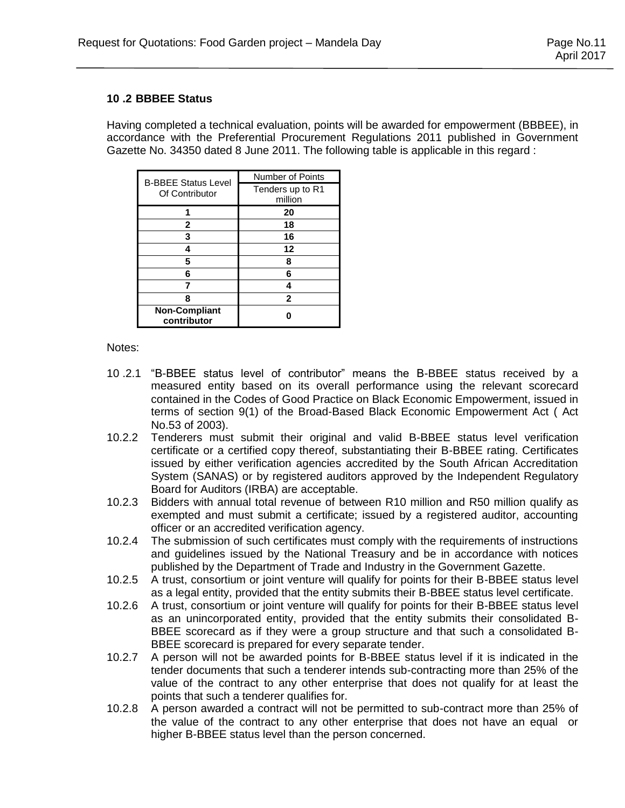# **10 .2 BBBEE Status**

Having completed a technical evaluation, points will be awarded for empowerment (BBBEE), in accordance with the Preferential Procurement Regulations 2011 published in Government Gazette No. 34350 dated 8 June 2011. The following table is applicable in this regard :

| <b>B-BBEE Status Level</b>          | Number of Points |  |
|-------------------------------------|------------------|--|
| Of Contributor                      | Tenders up to R1 |  |
|                                     | million          |  |
|                                     | 20               |  |
| 2                                   | 18               |  |
| 3                                   | 16               |  |
|                                     | 12               |  |
| 5                                   | 8                |  |
| 6                                   | 6                |  |
|                                     |                  |  |
| 8                                   | 2                |  |
| <b>Non-Compliant</b><br>contributor |                  |  |

Notes:

- 10 .2.1 "B-BBEE status level of contributor" means the B-BBEE status received by a measured entity based on its overall performance using the relevant scorecard contained in the Codes of Good Practice on Black Economic Empowerment, issued in terms of section 9(1) of the Broad-Based Black Economic Empowerment Act ( Act No.53 of 2003).
- 10.2.2 Tenderers must submit their original and valid B-BBEE status level verification certificate or a certified copy thereof, substantiating their B-BBEE rating. Certificates issued by either verification agencies accredited by the South African Accreditation System (SANAS) or by registered auditors approved by the Independent Regulatory Board for Auditors (IRBA) are acceptable.
- 10.2.3 Bidders with annual total revenue of between R10 million and R50 million qualify as exempted and must submit a certificate; issued by a registered auditor, accounting officer or an accredited verification agency.
- 10.2.4 The submission of such certificates must comply with the requirements of instructions and guidelines issued by the National Treasury and be in accordance with notices published by the Department of Trade and Industry in the Government Gazette.
- 10.2.5 A trust, consortium or joint venture will qualify for points for their B-BBEE status level as a legal entity, provided that the entity submits their B-BBEE status level certificate.
- 10.2.6 A trust, consortium or joint venture will qualify for points for their B-BBEE status level as an unincorporated entity, provided that the entity submits their consolidated B-BBEE scorecard as if they were a group structure and that such a consolidated B-BBEE scorecard is prepared for every separate tender.
- 10.2.7 A person will not be awarded points for B-BBEE status level if it is indicated in the tender documents that such a tenderer intends sub-contracting more than 25% of the value of the contract to any other enterprise that does not qualify for at least the points that such a tenderer qualifies for.
- 10.2.8 A person awarded a contract will not be permitted to sub-contract more than 25% of the value of the contract to any other enterprise that does not have an equal or higher B-BBEE status level than the person concerned.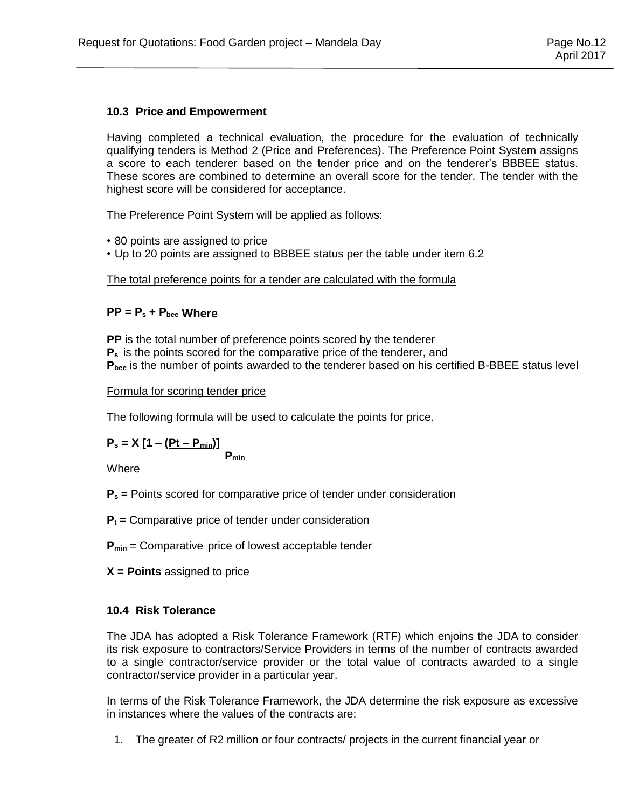# **10.3 Price and Empowerment**

Having completed a technical evaluation, the procedure for the evaluation of technically qualifying tenders is Method 2 (Price and Preferences). The Preference Point System assigns a score to each tenderer based on the tender price and on the tenderer's BBBEE status. These scores are combined to determine an overall score for the tender. The tender with the highest score will be considered for acceptance.

The Preference Point System will be applied as follows:

- 80 points are assigned to price
- Up to 20 points are assigned to BBBEE status per the table under item 6.2

# The total preference points for a tender are calculated with the formula

# **PP = P<sup>s</sup> + Pbee Where**

**PP** is the total number of preference points scored by the tenderer **P<sup>s</sup>** is the points scored for the comparative price of the tenderer, and **Pbee** is the number of points awarded to the tenderer based on his certified B-BBEE status level

#### Formula for scoring tender price

The following formula will be used to calculate the points for price.

 $P_s = X [1 - (Pt - P_{min})]$ **Pmin**

Where

- **P<sup>s</sup> =** Points scored for comparative price of tender under consideration
- **P<sup>t</sup> =** Comparative price of tender under consideration
- **Pmin** = Comparative price of lowest acceptable tender
- **X = Points** assigned to price

# **10.4 Risk Tolerance**

The JDA has adopted a Risk Tolerance Framework (RTF) which enjoins the JDA to consider its risk exposure to contractors/Service Providers in terms of the number of contracts awarded to a single contractor/service provider or the total value of contracts awarded to a single contractor/service provider in a particular year.

In terms of the Risk Tolerance Framework, the JDA determine the risk exposure as excessive in instances where the values of the contracts are:

1. The greater of R2 million or four contracts/ projects in the current financial year or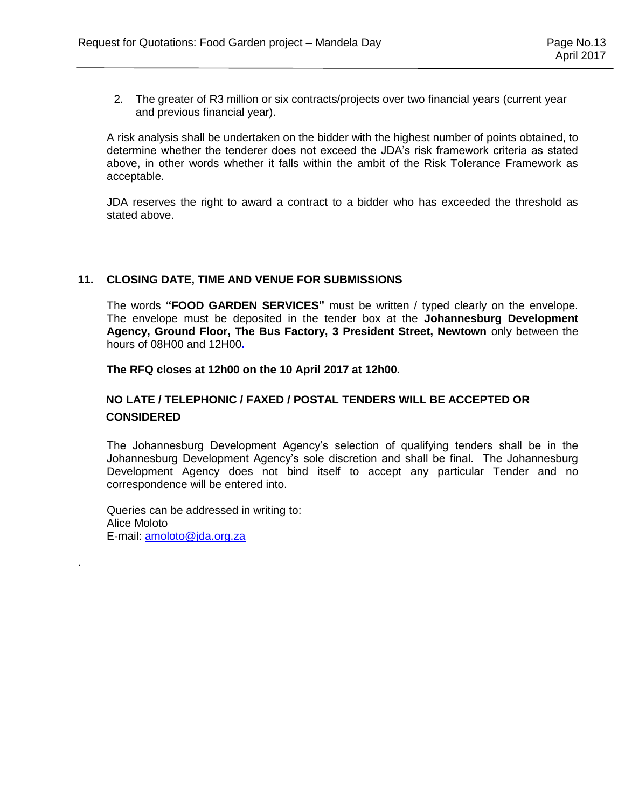2. The greater of R3 million or six contracts/projects over two financial years (current year and previous financial year).

A risk analysis shall be undertaken on the bidder with the highest number of points obtained, to determine whether the tenderer does not exceed the JDA's risk framework criteria as stated above, in other words whether it falls within the ambit of the Risk Tolerance Framework as acceptable.

JDA reserves the right to award a contract to a bidder who has exceeded the threshold as stated above.

#### **11. CLOSING DATE, TIME AND VENUE FOR SUBMISSIONS**

The words **"FOOD GARDEN SERVICES"** must be written / typed clearly on the envelope. The envelope must be deposited in the tender box at the **Johannesburg Development Agency, Ground Floor, The Bus Factory, 3 President Street, Newtown** only between the hours of 08H00 and 12H00**.** 

**The RFQ closes at 12h00 on the 10 April 2017 at 12h00.**

# **NO LATE / TELEPHONIC / FAXED / POSTAL TENDERS WILL BE ACCEPTED OR CONSIDERED**

The Johannesburg Development Agency's selection of qualifying tenders shall be in the Johannesburg Development Agency's sole discretion and shall be final. The Johannesburg Development Agency does not bind itself to accept any particular Tender and no correspondence will be entered into.

Queries can be addressed in writing to: Alice Moloto E-mail: [amoloto@jda.org.za](mailto:amoloto@jda.org.za)

.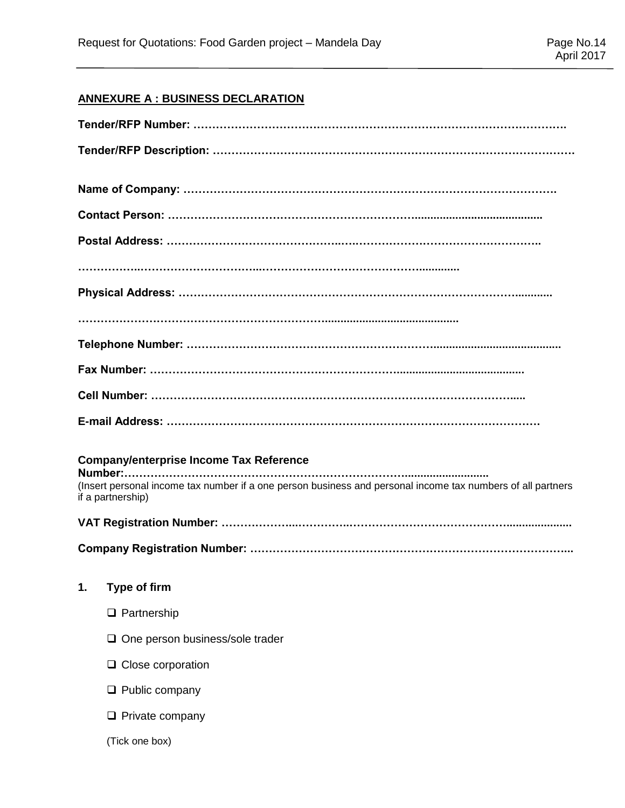# **ANNEXURE A : BUSINESS DECLARATION**

|    | <b>Company/enterprise Income Tax Reference</b>                                                                                   |
|----|----------------------------------------------------------------------------------------------------------------------------------|
|    | (Insert personal income tax number if a one person business and personal income tax numbers of all partners<br>if a partnership) |
|    |                                                                                                                                  |
|    |                                                                                                                                  |
| 1. | Type of firm                                                                                                                     |
|    | $\Box$ Partnership                                                                                                               |
|    | One person business/sole trader<br>Q.                                                                                            |
|    | Close corporation<br>u.                                                                                                          |
|    | $\Box$ Public company                                                                                                            |
|    | $\Box$ Private company                                                                                                           |
|    | (Tick one box)                                                                                                                   |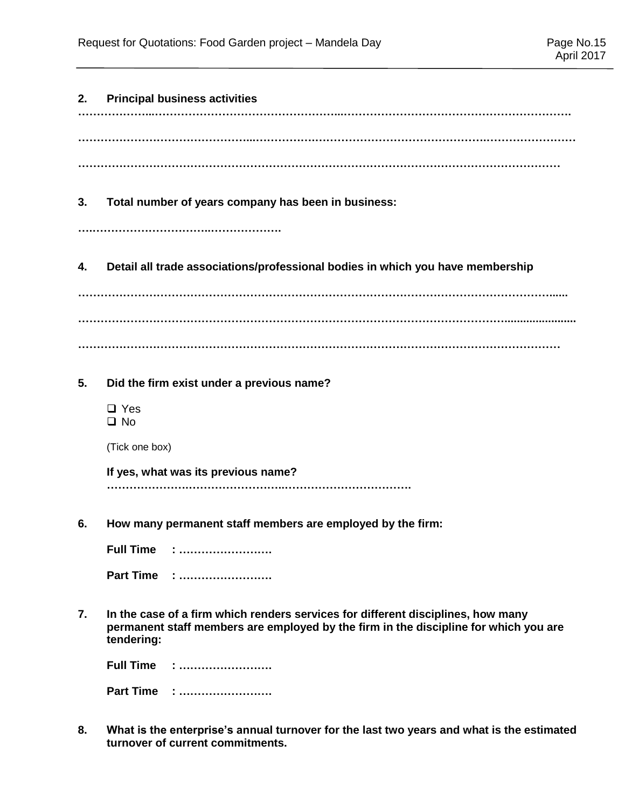| 2. | <b>Principal business activities</b>                                                                                                                                                   |
|----|----------------------------------------------------------------------------------------------------------------------------------------------------------------------------------------|
|    |                                                                                                                                                                                        |
|    |                                                                                                                                                                                        |
| 3. | Total number of years company has been in business:                                                                                                                                    |
| 4. | Detail all trade associations/professional bodies in which you have membership                                                                                                         |
|    |                                                                                                                                                                                        |
| 5. | Did the firm exist under a previous name?<br>$\Box$ Yes<br>$\square$ No                                                                                                                |
|    | (Tick one box)                                                                                                                                                                         |
|    | If yes, what was its previous name?                                                                                                                                                    |
| 6. | How many permanent staff members are employed by the firm:                                                                                                                             |
|    | <b>Full Time</b>                                                                                                                                                                       |
|    | Part Time :                                                                                                                                                                            |
| 7. | In the case of a firm which renders services for different disciplines, how many<br>permanent staff members are employed by the firm in the discipline for which you are<br>tendering: |
|    | <b>Full Time</b><br><u>: </u>                                                                                                                                                          |
|    | Part Time :                                                                                                                                                                            |
|    | ale ennual tunnaise fan the laat tus                                                                                                                                                   |

**8. What is the enterprise's annual turnover for the last two years and what is the estimated turnover of current commitments.**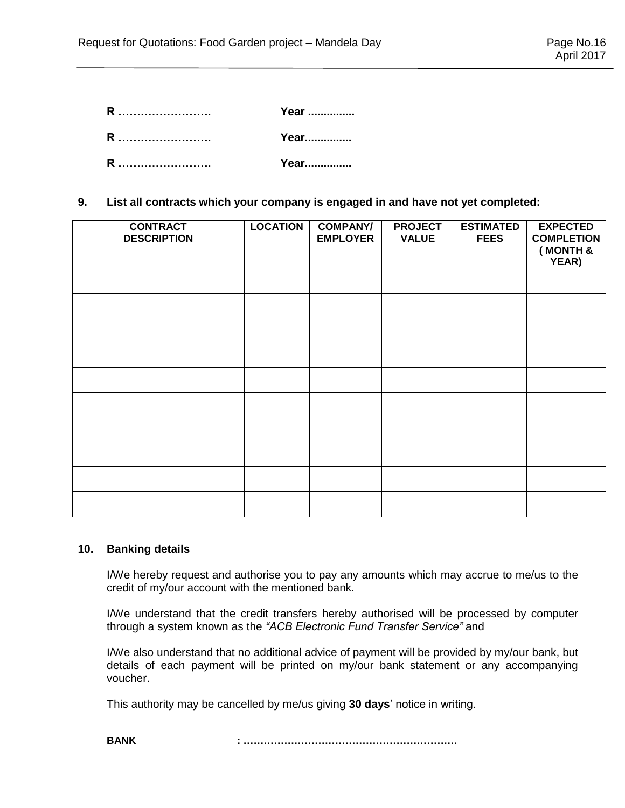| R | Year |
|---|------|
| R | Year |
| R | Year |

**9. List all contracts which your company is engaged in and have not yet completed:**

| <b>CONTRACT</b><br><b>DESCRIPTION</b> | <b>LOCATION</b> | <b>COMPANY/</b><br><b>EMPLOYER</b> | <b>PROJECT</b><br><b>VALUE</b> | <b>ESTIMATED</b><br><b>FEES</b> | <b>EXPECTED</b><br><b>COMPLETION</b><br>(MONTH &<br>YEAR) |
|---------------------------------------|-----------------|------------------------------------|--------------------------------|---------------------------------|-----------------------------------------------------------|
|                                       |                 |                                    |                                |                                 |                                                           |
|                                       |                 |                                    |                                |                                 |                                                           |
|                                       |                 |                                    |                                |                                 |                                                           |
|                                       |                 |                                    |                                |                                 |                                                           |
|                                       |                 |                                    |                                |                                 |                                                           |
|                                       |                 |                                    |                                |                                 |                                                           |
|                                       |                 |                                    |                                |                                 |                                                           |
|                                       |                 |                                    |                                |                                 |                                                           |
|                                       |                 |                                    |                                |                                 |                                                           |
|                                       |                 |                                    |                                |                                 |                                                           |

#### **10. Banking details**

I/We hereby request and authorise you to pay any amounts which may accrue to me/us to the credit of my/our account with the mentioned bank.

I/We understand that the credit transfers hereby authorised will be processed by computer through a system known as the *"ACB Electronic Fund Transfer Service"* and

I/We also understand that no additional advice of payment will be provided by my/our bank, but details of each payment will be printed on my/our bank statement or any accompanying voucher.

This authority may be cancelled by me/us giving **30 days**' notice in writing.

**BANK : ………………………………………………………**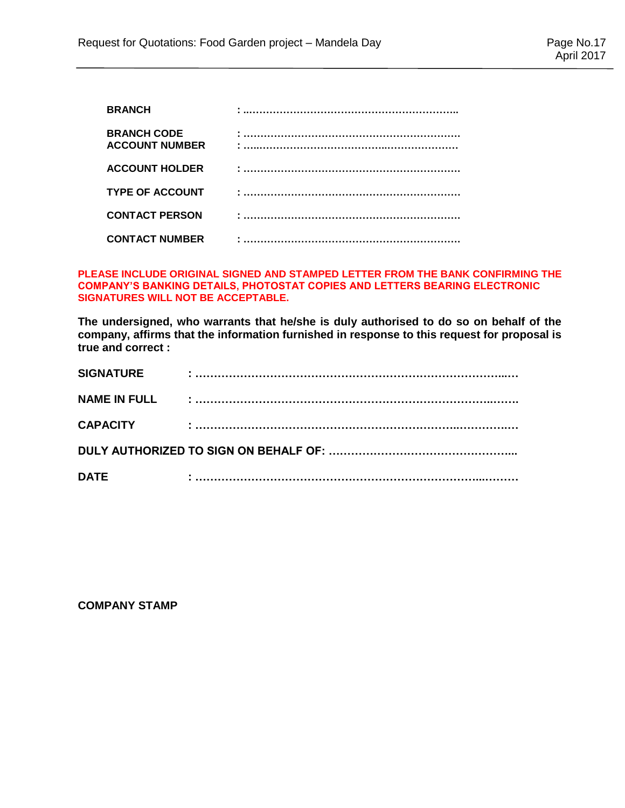| <b>BRANCH</b>                               |  |
|---------------------------------------------|--|
| <b>BRANCH CODE</b><br><b>ACCOUNT NUMBER</b> |  |
| <b>ACCOUNT HOLDER</b>                       |  |
| <b>TYPE OF ACCOUNT</b>                      |  |
| <b>CONTACT PERSON</b>                       |  |
| <b>CONTACT NUMBER</b>                       |  |

#### **PLEASE INCLUDE ORIGINAL SIGNED AND STAMPED LETTER FROM THE BANK CONFIRMING THE COMPANY'S BANKING DETAILS, PHOTOSTAT COPIES AND LETTERS BEARING ELECTRONIC SIGNATURES WILL NOT BE ACCEPTABLE.**

**The undersigned, who warrants that he/she is duly authorised to do so on behalf of the company, affirms that the information furnished in response to this request for proposal is true and correct :**

| <b>SIGNATURE</b>    |  |
|---------------------|--|
| <b>NAME IN FULL</b> |  |
| <b>CAPACITY</b>     |  |
|                     |  |
| <b>DATE</b>         |  |

### **COMPANY STAMP**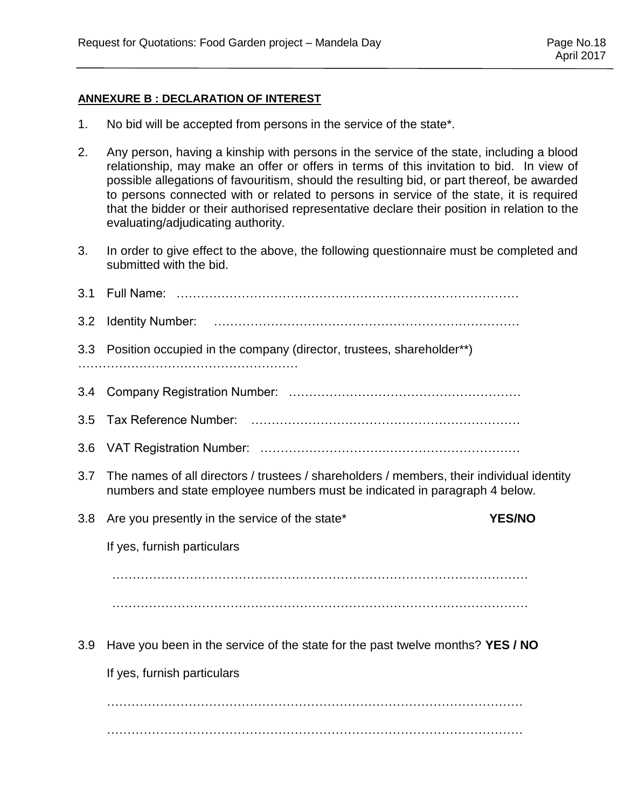# **ANNEXURE B : DECLARATION OF INTEREST**

- 1. No bid will be accepted from persons in the service of the state\*.
- 2. Any person, having a kinship with persons in the service of the state, including a blood relationship, may make an offer or offers in terms of this invitation to bid. In view of possible allegations of favouritism, should the resulting bid, or part thereof, be awarded to persons connected with or related to persons in service of the state, it is required that the bidder or their authorised representative declare their position in relation to the evaluating/adjudicating authority.
- 3. In order to give effect to the above, the following questionnaire must be completed and submitted with the bid.

| 3.1 |                                                                                                                                                                         |
|-----|-------------------------------------------------------------------------------------------------------------------------------------------------------------------------|
| 3.2 |                                                                                                                                                                         |
| 3.3 | Position occupied in the company (director, trustees, shareholder**)                                                                                                    |
|     |                                                                                                                                                                         |
| 3.4 |                                                                                                                                                                         |
| 3.5 |                                                                                                                                                                         |
| 3.6 |                                                                                                                                                                         |
| 3.7 | The names of all directors / trustees / shareholders / members, their individual identity<br>numbers and state employee numbers must be indicated in paragraph 4 below. |
|     | <b>YES/NO</b>                                                                                                                                                           |
| 3.8 | Are you presently in the service of the state*                                                                                                                          |
|     | If yes, furnish particulars                                                                                                                                             |
|     |                                                                                                                                                                         |
|     |                                                                                                                                                                         |
| 3.9 | Have you been in the service of the state for the past twelve months? YES / NO                                                                                          |
|     | If yes, furnish particulars                                                                                                                                             |
|     |                                                                                                                                                                         |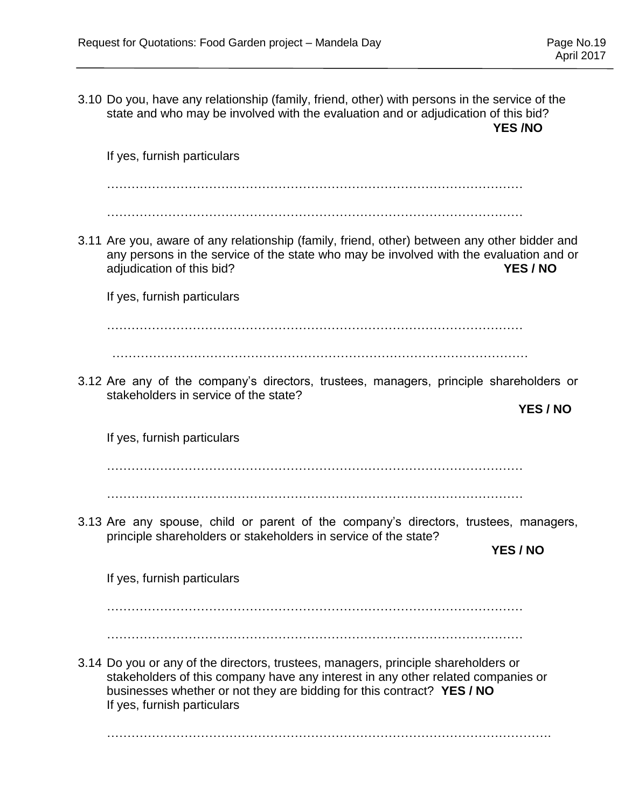3.10 Do you, have any relationship (family, friend, other) with persons in the service of the state and who may be involved with the evaluation and or adjudication of this bid?  **YES /NO** If yes, furnish particulars ………………………………………………………………………………………… ………………………………………………………………………………………… 3.11 Are you, aware of any relationship (family, friend, other) between any other bidder and any persons in the service of the state who may be involved with the evaluation and or adjudication of this bid? **YES / NO** If yes, furnish particulars ………………………………………………………………………………………… ………………………………………………………………………………………… 3.12 Are any of the company's directors, trustees, managers, principle shareholders or stakeholders in service of the state? **YES / NO** If yes, furnish particulars ………………………………………………………………………………………… ………………………………………………………………………………………… 3.13 Are any spouse, child or parent of the company's directors, trustees, managers, principle shareholders or stakeholders in service of the state? **YES / NO** If yes, furnish particulars ………………………………………………………………………………………… ………………………………………………………………………………………… 3.14 Do you or any of the directors, trustees, managers, principle shareholders or stakeholders of this company have any interest in any other related companies or businesses whether or not they are bidding for this contract? **YES / NO** If yes, furnish particulars ……………………………………………………………………………………………….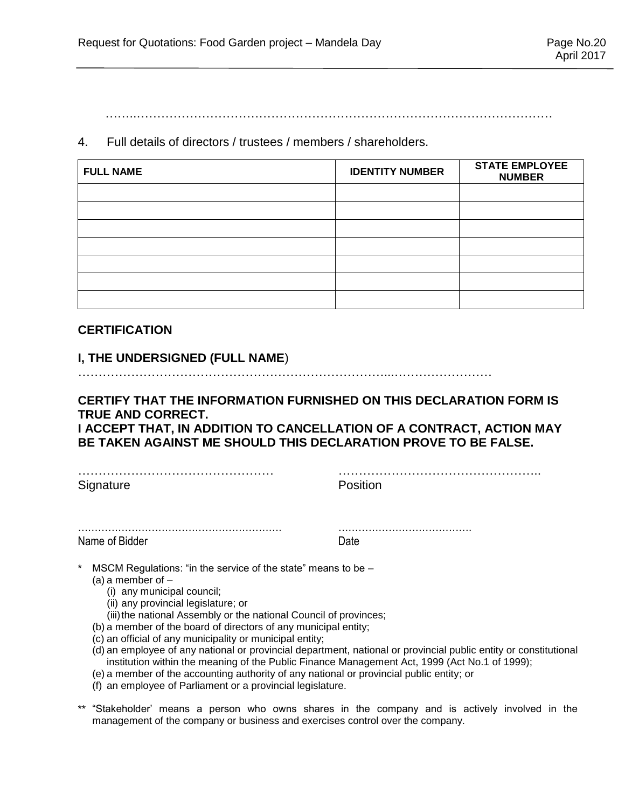……..…………………………………………………………………………………………

4. Full details of directors / trustees / members / shareholders.

| <b>FULL NAME</b> | <b>IDENTITY NUMBER</b> | <b>STATE EMPLOYEE</b><br><b>NUMBER</b> |
|------------------|------------------------|----------------------------------------|
|                  |                        |                                        |
|                  |                        |                                        |
|                  |                        |                                        |
|                  |                        |                                        |
|                  |                        |                                        |
|                  |                        |                                        |
|                  |                        |                                        |

# **CERTIFICATION**

# **I, THE UNDERSIGNED (FULL NAME**)

…………………………………………………………………...……………………

# **CERTIFY THAT THE INFORMATION FURNISHED ON THIS DECLARATION FORM IS TRUE AND CORRECT. I ACCEPT THAT, IN ADDITION TO CANCELLATION OF A CONTRACT, ACTION MAY BE TAKEN AGAINST ME SHOULD THIS DECLARATION PROVE TO BE FALSE.**

Signature **Position** 

………………………………………… …………………………………………..

……………………………………………………. …………………………………. Name of Bidder **Date** 

MSCM Regulations: "in the service of the state" means to be  $-$ 

- (a) a member of  $-$ 
	- (i) any municipal council;
	- (ii) any provincial legislature; or
	- (iii) the national Assembly or the national Council of provinces;
- (b) a member of the board of directors of any municipal entity;
- (c) an official of any municipality or municipal entity;
- (d) an employee of any national or provincial department, national or provincial public entity or constitutional institution within the meaning of the Public Finance Management Act, 1999 (Act No.1 of 1999);
- (e) a member of the accounting authority of any national or provincial public entity; or
- (f) an employee of Parliament or a provincial legislature.
- \*\* "Stakeholder' means a person who owns shares in the company and is actively involved in the management of the company or business and exercises control over the company.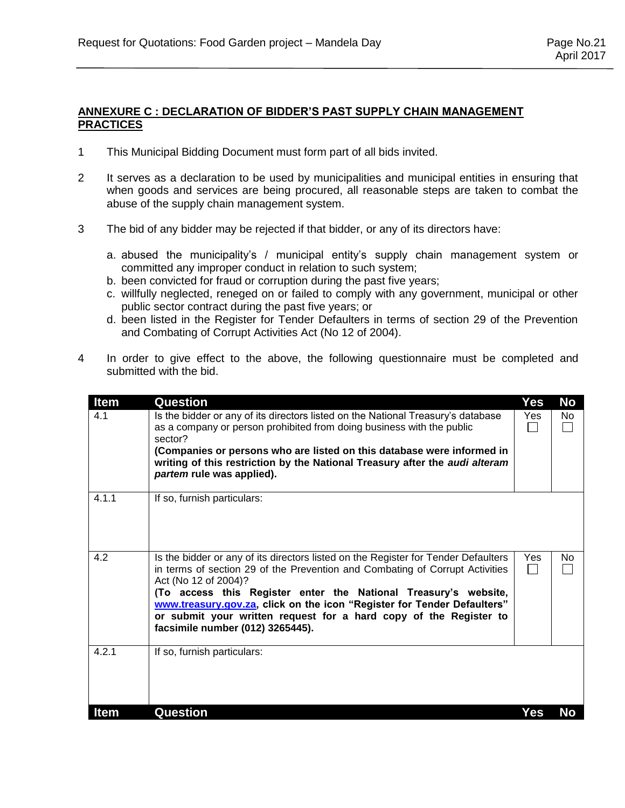#### **ANNEXURE C : DECLARATION OF BIDDER'S PAST SUPPLY CHAIN MANAGEMENT PRACTICES**

- 1 This Municipal Bidding Document must form part of all bids invited.
- 2 It serves as a declaration to be used by municipalities and municipal entities in ensuring that when goods and services are being procured, all reasonable steps are taken to combat the abuse of the supply chain management system.
- 3 The bid of any bidder may be rejected if that bidder, or any of its directors have:
	- a. abused the municipality's / municipal entity's supply chain management system or committed any improper conduct in relation to such system;
	- b. been convicted for fraud or corruption during the past five years;
	- c. willfully neglected, reneged on or failed to comply with any government, municipal or other public sector contract during the past five years; or
	- d. been listed in the Register for Tender Defaulters in terms of section 29 of the Prevention and Combating of Corrupt Activities Act (No 12 of 2004).
- 4 In order to give effect to the above, the following questionnaire must be completed and submitted with the bid.

| <b>Item</b> | Question                                                                                                                                                                                                                                                                                                                                                                                                                                          | Yes | <b>No</b> |
|-------------|---------------------------------------------------------------------------------------------------------------------------------------------------------------------------------------------------------------------------------------------------------------------------------------------------------------------------------------------------------------------------------------------------------------------------------------------------|-----|-----------|
| 4.1         | Is the bidder or any of its directors listed on the National Treasury's database<br>as a company or person prohibited from doing business with the public<br>sector?<br>(Companies or persons who are listed on this database were informed in<br>writing of this restriction by the National Treasury after the <i>audi alteram</i><br>partem rule was applied).                                                                                 | Yes | No.       |
| 4.1.1       | If so, furnish particulars:                                                                                                                                                                                                                                                                                                                                                                                                                       |     |           |
| 4.2         | Is the bidder or any of its directors listed on the Register for Tender Defaulters<br>in terms of section 29 of the Prevention and Combating of Corrupt Activities<br>Act (No 12 of 2004)?<br>(To access this Register enter the National Treasury's website,<br>www.treasury.gov.za, click on the icon "Register for Tender Defaulters"<br>or submit your written request for a hard copy of the Register to<br>facsimile number (012) 3265445). | Yes | No        |
| 4.2.1       | If so, furnish particulars:                                                                                                                                                                                                                                                                                                                                                                                                                       |     |           |
| <b>Item</b> | Question                                                                                                                                                                                                                                                                                                                                                                                                                                          | Yes | No        |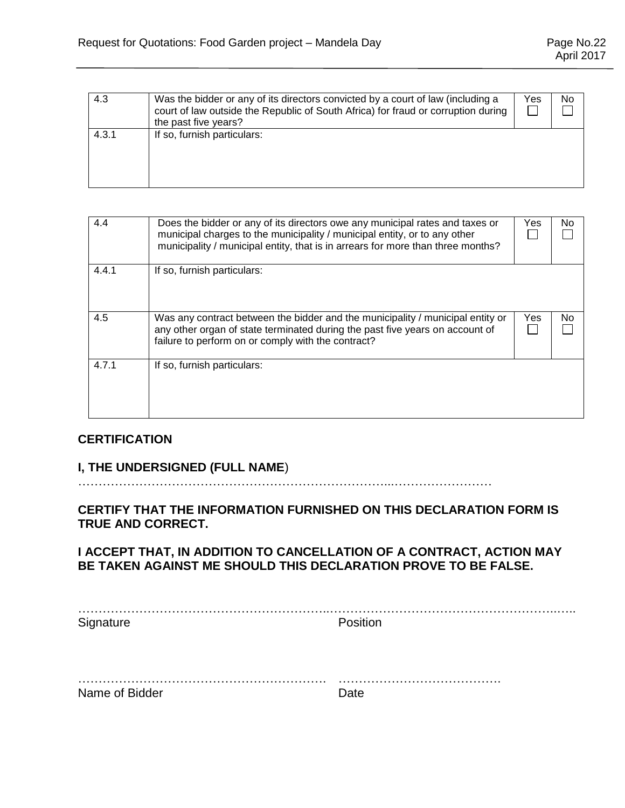| 4.3   | Was the bidder or any of its directors convicted by a court of law (including a<br>court of law outside the Republic of South Africa) for fraud or corruption during<br>the past five years? | Yes | No |
|-------|----------------------------------------------------------------------------------------------------------------------------------------------------------------------------------------------|-----|----|
| 4.3.1 | If so, furnish particulars:                                                                                                                                                                  |     |    |

| 4.4   | Does the bidder or any of its directors owe any municipal rates and taxes or<br>municipal charges to the municipality / municipal entity, or to any other<br>municipality / municipal entity, that is in arrears for more than three months? | Yes | No |
|-------|----------------------------------------------------------------------------------------------------------------------------------------------------------------------------------------------------------------------------------------------|-----|----|
| 4.4.1 | If so, furnish particulars:                                                                                                                                                                                                                  |     |    |
| 4.5   | Was any contract between the bidder and the municipality / municipal entity or<br>any other organ of state terminated during the past five years on account of<br>failure to perform on or comply with the contract?                         | Yes | No |
| 4.7.1 | If so, furnish particulars:                                                                                                                                                                                                                  |     |    |

# **CERTIFICATION**

# **I, THE UNDERSIGNED (FULL NAME**)

…………………………………………………………………...……………………

**CERTIFY THAT THE INFORMATION FURNISHED ON THIS DECLARATION FORM IS TRUE AND CORRECT.** 

# **I ACCEPT THAT, IN ADDITION TO CANCELLATION OF A CONTRACT, ACTION MAY BE TAKEN AGAINST ME SHOULD THIS DECLARATION PROVE TO BE FALSE.**

……………………………………………………..………………………………………………..….. Signature **Position** 

| Name of Bidder |  |
|----------------|--|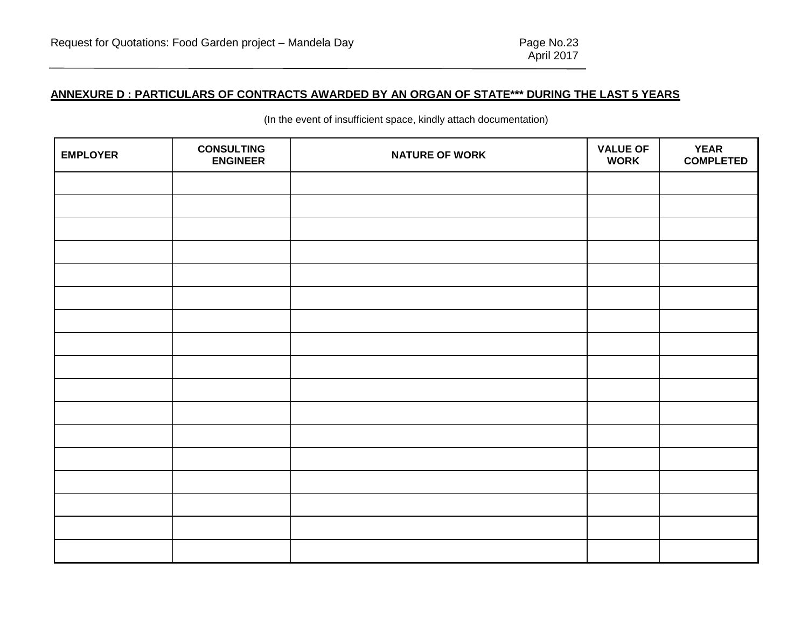# **ANNEXURE D : PARTICULARS OF CONTRACTS AWARDED BY AN ORGAN OF STATE\*\*\* DURING THE LAST 5 YEARS**

| <b>EMPLOYER</b> | <b>CONSULTING</b><br><b>ENGINEER</b> | <b>NATURE OF WORK</b> | <b>VALUE OF</b><br><b>WORK</b> | <b>YEAR</b><br><b>COMPLETED</b> |
|-----------------|--------------------------------------|-----------------------|--------------------------------|---------------------------------|
|                 |                                      |                       |                                |                                 |
|                 |                                      |                       |                                |                                 |
|                 |                                      |                       |                                |                                 |
|                 |                                      |                       |                                |                                 |
|                 |                                      |                       |                                |                                 |
|                 |                                      |                       |                                |                                 |
|                 |                                      |                       |                                |                                 |
|                 |                                      |                       |                                |                                 |
|                 |                                      |                       |                                |                                 |
|                 |                                      |                       |                                |                                 |
|                 |                                      |                       |                                |                                 |
|                 |                                      |                       |                                |                                 |
|                 |                                      |                       |                                |                                 |
|                 |                                      |                       |                                |                                 |
|                 |                                      |                       |                                |                                 |
|                 |                                      |                       |                                |                                 |
|                 |                                      |                       |                                |                                 |

(In the event of insufficient space, kindly attach documentation)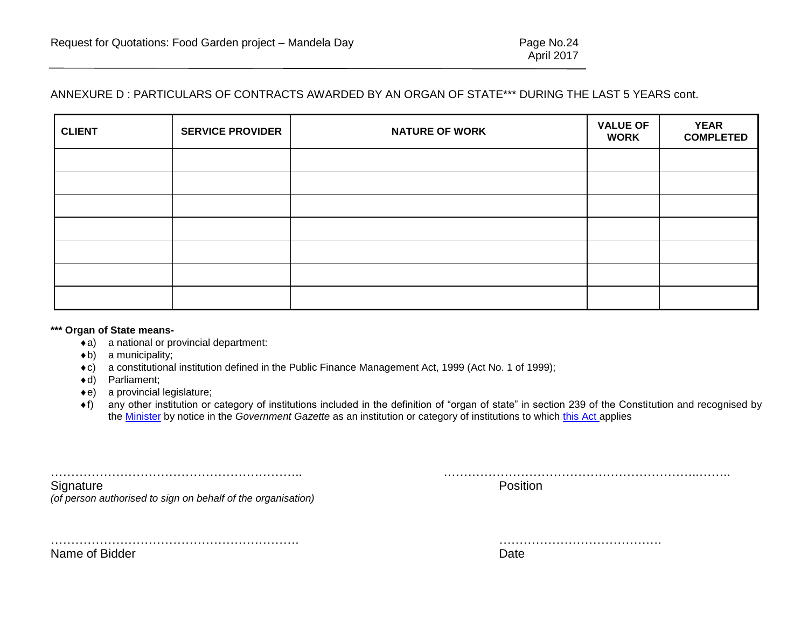# ANNEXURE D : PARTICULARS OF CONTRACTS AWARDED BY AN ORGAN OF STATE\*\*\* DURING THE LAST 5 YEARS cont.

| <b>CLIENT</b> | <b>SERVICE PROVIDER</b> | <b>NATURE OF WORK</b> | <b>VALUE OF</b><br><b>WORK</b> | <b>YEAR</b><br><b>COMPLETED</b> |
|---------------|-------------------------|-----------------------|--------------------------------|---------------------------------|
|               |                         |                       |                                |                                 |
|               |                         |                       |                                |                                 |
|               |                         |                       |                                |                                 |
|               |                         |                       |                                |                                 |
|               |                         |                       |                                |                                 |
|               |                         |                       |                                |                                 |
|               |                         |                       |                                |                                 |

#### **\*\*\* Organ of State means-**

- a) a national or provincial department:
- $\triangleleft$ b) a municipality;
- c) a constitutional institution defined in the Public Finance Management Act, 1999 (Act No. 1 of 1999);
- d) Parliament;
- e) a provincial legislature;
- f) any other institution or category of institutions included in the definition of "organ of state" in section 239 of the Constitution and recognised by the [Minister](javascript:void(0);) by notice in the *Government Gazette* as an institution or category of institutions to which [this Act](javascript:void(0);) applies

…………………………………………………….. .……………………………………………………..…….. Signature **Position** 

*(of person authorised to sign on behalf of the organisation)*

……………………………………………………. ………………………………….

Name of Bidder **Date** Date of Bidder **Date of Bidder Date of Bidder Date of Bidder Date of Bidder Date of Bidder**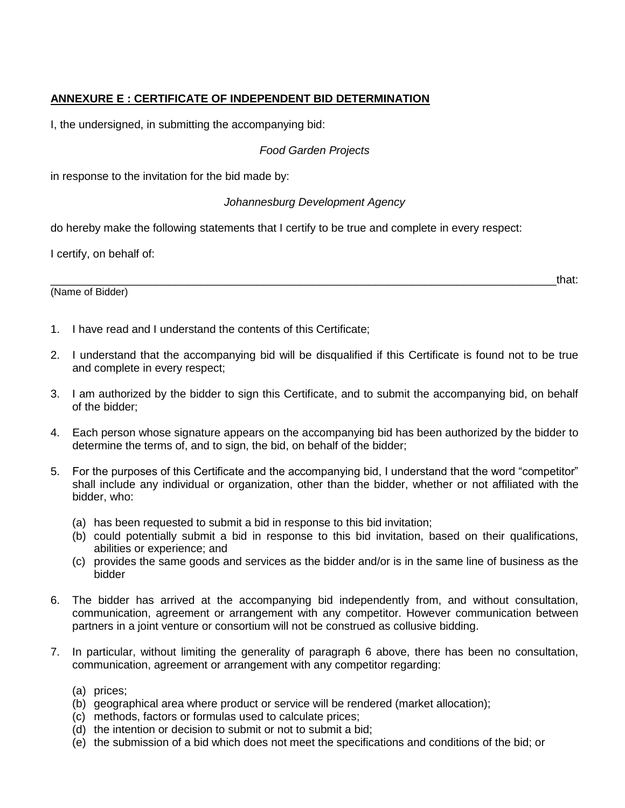# **ANNEXURE E : CERTIFICATE OF INDEPENDENT BID DETERMINATION**

I, the undersigned, in submitting the accompanying bid:

# *Food Garden Projects*

in response to the invitation for the bid made by:

# *Johannesburg Development Agency*

do hereby make the following statements that I certify to be true and complete in every respect:

I certify, on behalf of:

(Name of Bidder)

\_\_\_\_\_\_\_\_\_\_\_\_\_\_\_\_\_\_\_\_\_\_\_\_\_\_\_\_\_\_\_\_\_\_\_\_\_\_\_\_\_\_\_\_\_\_\_\_\_\_\_\_\_\_\_\_\_\_\_\_\_\_\_\_\_\_\_\_\_\_\_\_\_\_\_\_\_\_\_\_\_that:

- 1. I have read and I understand the contents of this Certificate;
- 2. I understand that the accompanying bid will be disqualified if this Certificate is found not to be true and complete in every respect;
- 3. I am authorized by the bidder to sign this Certificate, and to submit the accompanying bid, on behalf of the bidder;
- 4. Each person whose signature appears on the accompanying bid has been authorized by the bidder to determine the terms of, and to sign, the bid, on behalf of the bidder;
- 5. For the purposes of this Certificate and the accompanying bid, I understand that the word "competitor" shall include any individual or organization, other than the bidder, whether or not affiliated with the bidder, who:
	- (a) has been requested to submit a bid in response to this bid invitation;
	- (b) could potentially submit a bid in response to this bid invitation, based on their qualifications, abilities or experience; and
	- (c) provides the same goods and services as the bidder and/or is in the same line of business as the bidder
- 6. The bidder has arrived at the accompanying bid independently from, and without consultation, communication, agreement or arrangement with any competitor. However communication between partners in a joint venture or consortium will not be construed as collusive bidding.
- 7. In particular, without limiting the generality of paragraph 6 above, there has been no consultation, communication, agreement or arrangement with any competitor regarding:
	- (a) prices;
	- (b) geographical area where product or service will be rendered (market allocation);
	- (c) methods, factors or formulas used to calculate prices;
	- (d) the intention or decision to submit or not to submit a bid;
	- (e) the submission of a bid which does not meet the specifications and conditions of the bid; or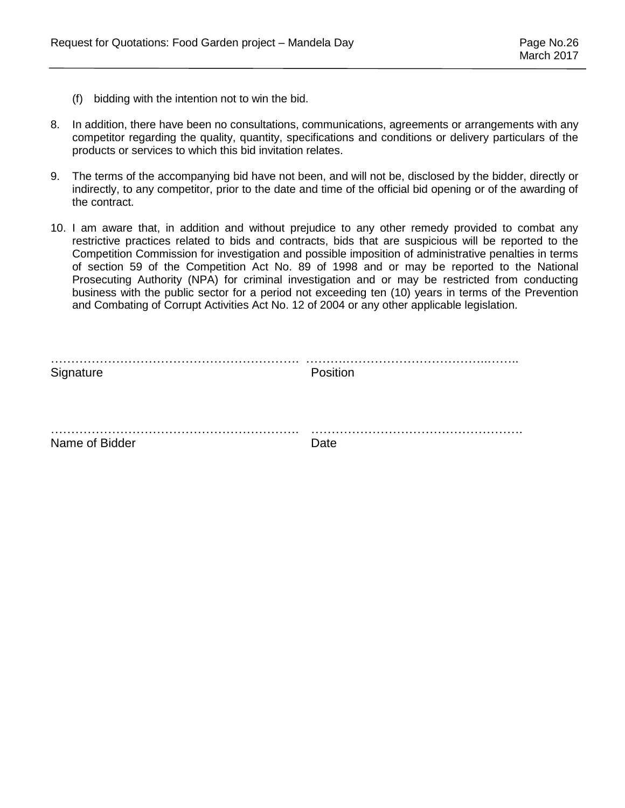- (f) bidding with the intention not to win the bid.
- 8. In addition, there have been no consultations, communications, agreements or arrangements with any competitor regarding the quality, quantity, specifications and conditions or delivery particulars of the products or services to which this bid invitation relates.
- 9. The terms of the accompanying bid have not been, and will not be, disclosed by the bidder, directly or indirectly, to any competitor, prior to the date and time of the official bid opening or of the awarding of the contract.
- 10. I am aware that, in addition and without prejudice to any other remedy provided to combat any restrictive practices related to bids and contracts, bids that are suspicious will be reported to the Competition Commission for investigation and possible imposition of administrative penalties in terms of section 59 of the Competition Act No. 89 of 1998 and or may be reported to the National Prosecuting Authority (NPA) for criminal investigation and or may be restricted from conducting business with the public sector for a period not exceeding ten (10) years in terms of the Prevention and Combating of Corrupt Activities Act No. 12 of 2004 or any other applicable legislation.

| Signature      | Position  |
|----------------|-----------|
|                |           |
| Name of Bidder | .<br>Date |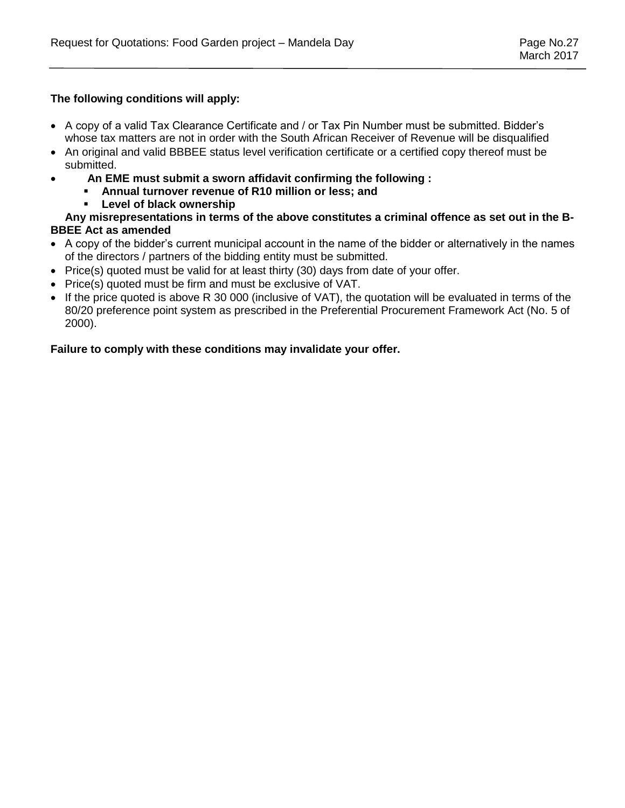# **The following conditions will apply:**

- A copy of a valid Tax Clearance Certificate and / or Tax Pin Number must be submitted. Bidder's whose tax matters are not in order with the South African Receiver of Revenue will be disqualified
- An original and valid BBBEE status level verification certificate or a certified copy thereof must be submitted.
- **An EME must submit a sworn affidavit confirming the following :** 
	- **Annual turnover revenue of R10 million or less; and**
	- **Level of black ownership**

**Any misrepresentations in terms of the above constitutes a criminal offence as set out in the B-BBEE Act as amended**

- A copy of the bidder's current municipal account in the name of the bidder or alternatively in the names of the directors / partners of the bidding entity must be submitted.
- $\bullet$  Price(s) quoted must be valid for at least thirty (30) days from date of your offer.
- Price(s) quoted must be firm and must be exclusive of VAT.
- If the price quoted is above R 30 000 (inclusive of VAT), the quotation will be evaluated in terms of the 80/20 preference point system as prescribed in the Preferential Procurement Framework Act (No. 5 of 2000).

# **Failure to comply with these conditions may invalidate your offer.**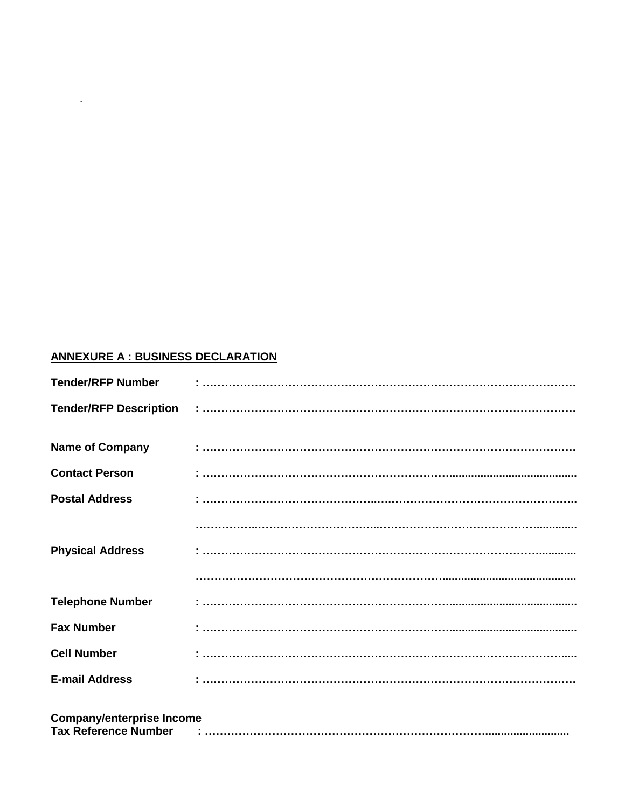# **ANNEXURE A : BUSINESS DECLARATION**

**Contract Contract** 

| <b>Name of Company</b>           |                                                                                                                                                                                                                                                                                                                                                                                                                                                                                                                                                       |
|----------------------------------|-------------------------------------------------------------------------------------------------------------------------------------------------------------------------------------------------------------------------------------------------------------------------------------------------------------------------------------------------------------------------------------------------------------------------------------------------------------------------------------------------------------------------------------------------------|
| <b>Contact Person</b>            | $\begin{array}{l} \rule{0mm}{2mm} \begin{array}{l} \rule{0mm}{2mm} \rule{0mm}{2mm} \rule{0mm}{2mm} \rule{0mm}{2mm} \rule{0mm}{2mm} \rule{0mm}{2mm} \rule{0mm}{2mm} \rule{0mm}{2mm} \end{array} \end{array} \begin{array}{ll} \rule{0mm}{2mm} \rule{0mm}{2mm} \rule{0mm}{2mm} \rule{0mm}{2mm} \rule{0mm}{2mm} \rule{0mm}{2mm} \rule{0mm}{2mm} \end{array} \begin{array}{l} \rule{0mm}{2mm} \rule{0mm}{2mm} \rule{0mm}{2mm} \rule{0mm}{$                                                                                                                |
| <b>Postal Address</b>            |                                                                                                                                                                                                                                                                                                                                                                                                                                                                                                                                                       |
|                                  |                                                                                                                                                                                                                                                                                                                                                                                                                                                                                                                                                       |
| <b>Physical Address</b>          |                                                                                                                                                                                                                                                                                                                                                                                                                                                                                                                                                       |
|                                  |                                                                                                                                                                                                                                                                                                                                                                                                                                                                                                                                                       |
| <b>Telephone Number</b>          |                                                                                                                                                                                                                                                                                                                                                                                                                                                                                                                                                       |
| <b>Fax Number</b>                | $\begin{array}{l} \begin{array}{l} \begin{array}{l} \begin{array}{l} \end{array} \end{array} \end{array} \end{array} \end{array} \end{array} \end{array} \begin{array}{l} \begin{array}{l} \begin{array}{l} \end{array} \end{array} \end{array} \end{array} \begin{array}{l} \begin{array}{l} \begin{array}{l} \end{array} \end{array} \end{array} \begin{array}{l} \begin{array}{l} \begin{array}{l} \end{array} \end{array} \end{array} \end{array} \begin{array}{l} \begin{array}{l} \begin{array}{l} \end{array} \end{array} \end{array} \begin{$ |
| <b>Cell Number</b>               |                                                                                                                                                                                                                                                                                                                                                                                                                                                                                                                                                       |
| <b>E-mail Address</b>            |                                                                                                                                                                                                                                                                                                                                                                                                                                                                                                                                                       |
| <b>Company/enterprise Income</b> |                                                                                                                                                                                                                                                                                                                                                                                                                                                                                                                                                       |
|                                  |                                                                                                                                                                                                                                                                                                                                                                                                                                                                                                                                                       |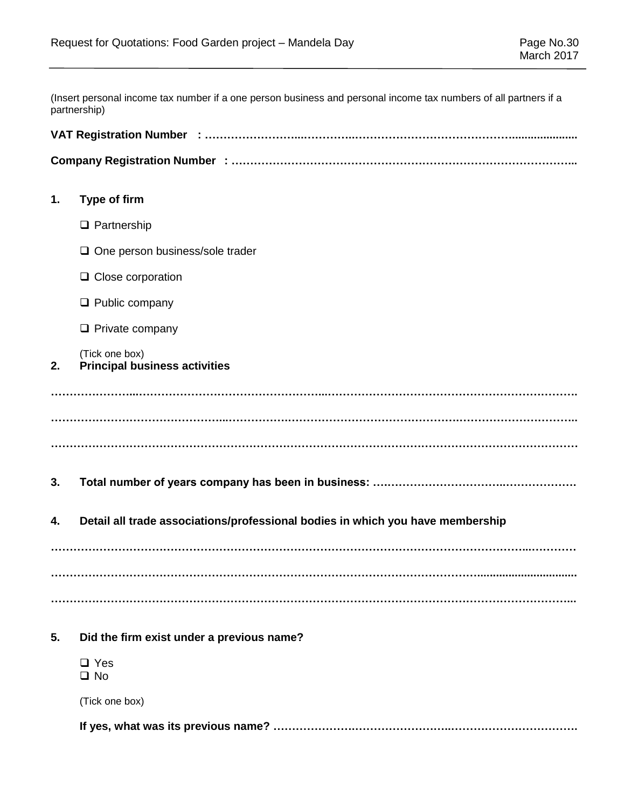(Insert personal income tax number if a one person business and personal income tax numbers of all partners if a partnership)

| 1. | Type of firm                                                                   |
|----|--------------------------------------------------------------------------------|
|    | $\Box$ Partnership                                                             |
|    | $\Box$ One person business/sole trader                                         |
|    | $\Box$ Close corporation                                                       |
|    | $\Box$ Public company                                                          |
|    | $\Box$ Private company                                                         |
| 2. | (Tick one box)<br><b>Principal business activities</b>                         |
| 3. |                                                                                |
| 4. | Detail all trade associations/professional bodies in which you have membership |
| 5. | Did the firm exist under a previous name?                                      |
|    | $\Box$ Yes<br>$\Box$ No                                                        |
|    | (Tick one box)                                                                 |
|    |                                                                                |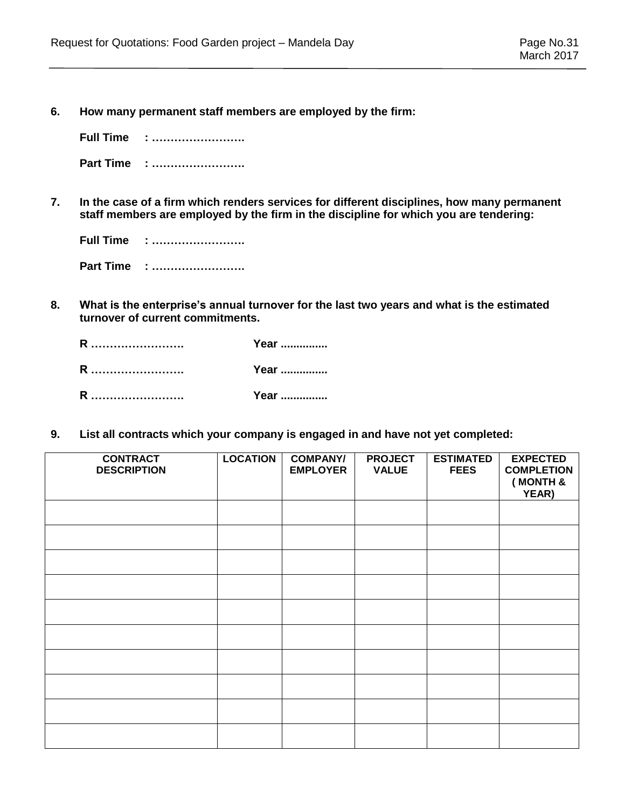**6. How many permanent staff members are employed by the firm:**

**Full Time : …………………….**

- **Part Time : …………………….**
- **7. In the case of a firm which renders services for different disciplines, how many permanent staff members are employed by the firm in the discipline for which you are tendering:**

| <b>Full Time : </b> |
|---------------------|
| Part Time :         |

**8. What is the enterprise's annual turnover for the last two years and what is the estimated turnover of current commitments.**

| R | Year |
|---|------|
| R | Year |
| R | Year |

**9. List all contracts which your company is engaged in and have not yet completed:**

| <b>CONTRACT</b><br><b>DESCRIPTION</b> | <b>LOCATION</b> | <b>COMPANY/</b><br><b>EMPLOYER</b> | <b>PROJECT</b><br><b>VALUE</b> | <b>ESTIMATED</b><br><b>FEES</b> | <b>EXPECTED</b><br><b>COMPLETION</b><br>(MONTH &<br>YEAR) |
|---------------------------------------|-----------------|------------------------------------|--------------------------------|---------------------------------|-----------------------------------------------------------|
|                                       |                 |                                    |                                |                                 |                                                           |
|                                       |                 |                                    |                                |                                 |                                                           |
|                                       |                 |                                    |                                |                                 |                                                           |
|                                       |                 |                                    |                                |                                 |                                                           |
|                                       |                 |                                    |                                |                                 |                                                           |
|                                       |                 |                                    |                                |                                 |                                                           |
|                                       |                 |                                    |                                |                                 |                                                           |
|                                       |                 |                                    |                                |                                 |                                                           |
|                                       |                 |                                    |                                |                                 |                                                           |
|                                       |                 |                                    |                                |                                 |                                                           |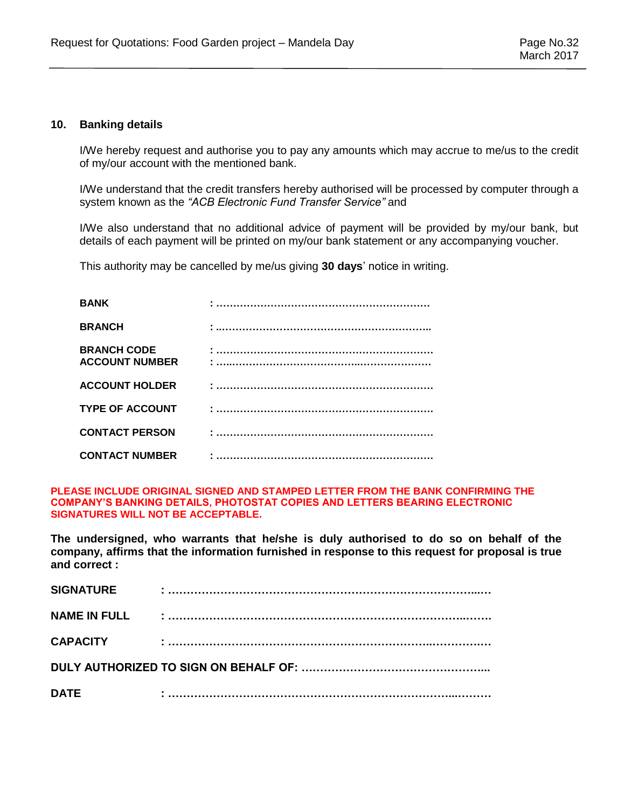#### **10. Banking details**

I/We hereby request and authorise you to pay any amounts which may accrue to me/us to the credit of my/our account with the mentioned bank.

I/We understand that the credit transfers hereby authorised will be processed by computer through a system known as the *"ACB Electronic Fund Transfer Service"* and

I/We also understand that no additional advice of payment will be provided by my/our bank, but details of each payment will be printed on my/our bank statement or any accompanying voucher.

This authority may be cancelled by me/us giving **30 days**' notice in writing.

| <b>BANK</b>                                 |  |
|---------------------------------------------|--|
| <b>BRANCH</b>                               |  |
| <b>BRANCH CODE</b><br><b>ACCOUNT NUMBER</b> |  |
| <b>ACCOUNT HOLDER</b>                       |  |
| <b>TYPE OF ACCOUNT</b>                      |  |
| <b>CONTACT PERSON</b>                       |  |
| <b>CONTACT NUMBER</b>                       |  |

**PLEASE INCLUDE ORIGINAL SIGNED AND STAMPED LETTER FROM THE BANK CONFIRMING THE COMPANY'S BANKING DETAILS, PHOTOSTAT COPIES AND LETTERS BEARING ELECTRONIC SIGNATURES WILL NOT BE ACCEPTABLE.**

**The undersigned, who warrants that he/she is duly authorised to do so on behalf of the company, affirms that the information furnished in response to this request for proposal is true and correct :**

| <b>SIGNATURE</b>    |  |
|---------------------|--|
| <b>NAME IN FULL</b> |  |
| <b>CAPACITY</b>     |  |
|                     |  |
| <b>DATE</b>         |  |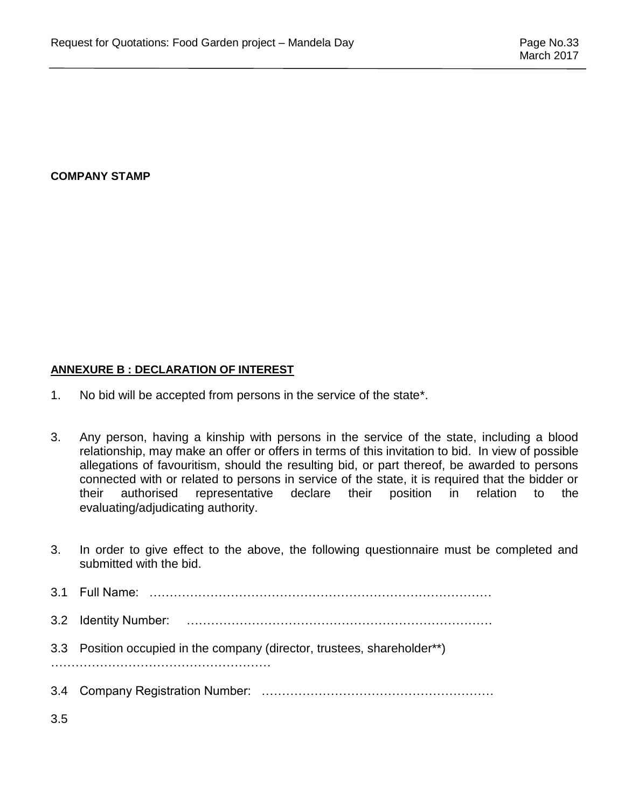# **COMPANY STAMP**

# **ANNEXURE B : DECLARATION OF INTEREST**

- 1. No bid will be accepted from persons in the service of the state\*.
- 3. Any person, having a kinship with persons in the service of the state, including a blood relationship, may make an offer or offers in terms of this invitation to bid. In view of possible allegations of favouritism, should the resulting bid, or part thereof, be awarded to persons connected with or related to persons in service of the state, it is required that the bidder or their authorised representative declare their position in relation to the evaluating/adjudicating authority.
- 3. In order to give effect to the above, the following questionnaire must be completed and submitted with the bid. 3.1 Full Name: ………………………………………………………………………… 3.2 Identity Number: ………………………………………………………………… 3.3 Position occupied in the company (director, trustees, shareholder\*\*) ……………………………………………… 3.4 Company Registration Number: ………………………………………………… 3.5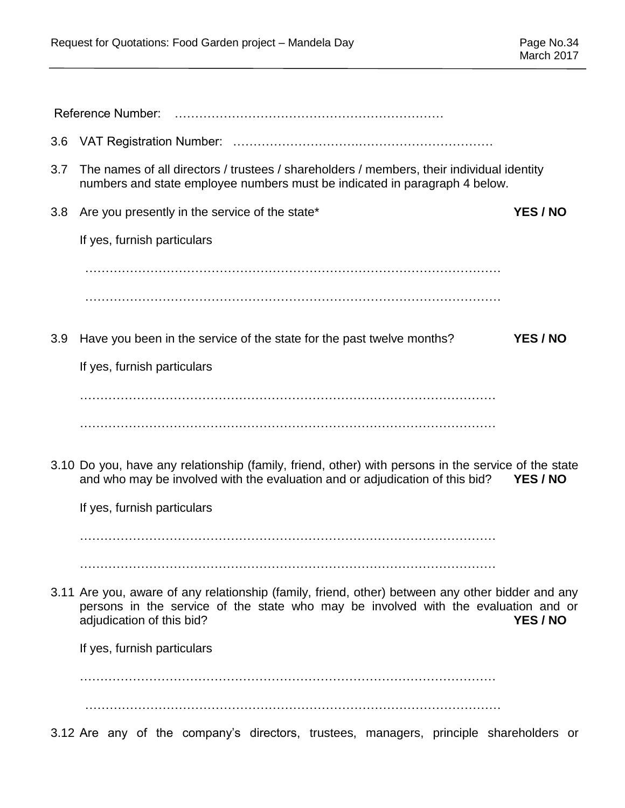| 3.6 |                                                                                                                                                                                                                                 |
|-----|---------------------------------------------------------------------------------------------------------------------------------------------------------------------------------------------------------------------------------|
| 3.7 | The names of all directors / trustees / shareholders / members, their individual identity<br>numbers and state employee numbers must be indicated in paragraph 4 below.                                                         |
| 3.8 | Are you presently in the service of the state*<br>YES / NO                                                                                                                                                                      |
|     | If yes, furnish particulars                                                                                                                                                                                                     |
|     |                                                                                                                                                                                                                                 |
| 3.9 | Have you been in the service of the state for the past twelve months?<br>YES / NO                                                                                                                                               |
|     | If yes, furnish particulars                                                                                                                                                                                                     |
|     |                                                                                                                                                                                                                                 |
|     |                                                                                                                                                                                                                                 |
|     | 3.10 Do you, have any relationship (family, friend, other) with persons in the service of the state<br>and who may be involved with the evaluation and or adjudication of this bid?<br>YES / NO                                 |
|     | If yes, furnish particulars                                                                                                                                                                                                     |
|     |                                                                                                                                                                                                                                 |
|     |                                                                                                                                                                                                                                 |
|     | 3.11 Are you, aware of any relationship (family, friend, other) between any other bidder and any<br>persons in the service of the state who may be involved with the evaluation and or<br>adjudication of this bid?<br>YES / NO |
|     | If yes, furnish particulars                                                                                                                                                                                                     |
|     |                                                                                                                                                                                                                                 |
|     | 3.12 Are any of the company's directors, trustees, managers, principle shareholders or                                                                                                                                          |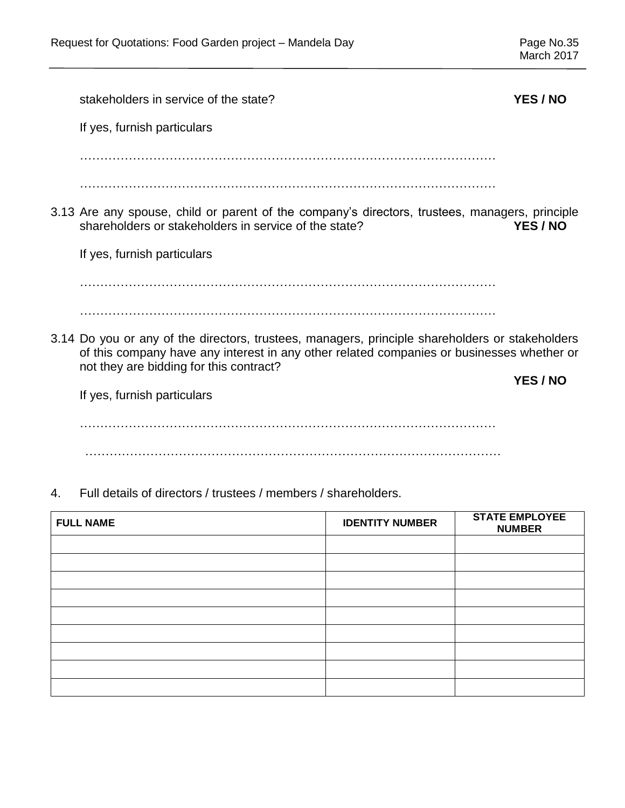Page No.35<br>March 2017

|    | stakeholders in service of the state?                                                                                                                                                                                                   | YES / NO |
|----|-----------------------------------------------------------------------------------------------------------------------------------------------------------------------------------------------------------------------------------------|----------|
|    | If yes, furnish particulars                                                                                                                                                                                                             |          |
|    |                                                                                                                                                                                                                                         |          |
|    |                                                                                                                                                                                                                                         |          |
|    | 3.13 Are any spouse, child or parent of the company's directors, trustees, managers, principle<br>shareholders or stakeholders in service of the state?                                                                                 | YES / NO |
|    | If yes, furnish particulars                                                                                                                                                                                                             |          |
|    |                                                                                                                                                                                                                                         |          |
|    |                                                                                                                                                                                                                                         |          |
|    | 3.14 Do you or any of the directors, trustees, managers, principle shareholders or stakeholders<br>of this company have any interest in any other related companies or businesses whether or<br>not they are bidding for this contract? |          |
|    |                                                                                                                                                                                                                                         | YES / NO |
|    | If yes, furnish particulars                                                                                                                                                                                                             |          |
|    |                                                                                                                                                                                                                                         |          |
|    |                                                                                                                                                                                                                                         |          |
| 4. | Full details of directors / trustees / members / shareholders.                                                                                                                                                                          |          |

| <b>FULL NAME</b> | <b>IDENTITY NUMBER</b> | <b>STATE EMPLOYEE</b><br><b>NUMBER</b> |
|------------------|------------------------|----------------------------------------|
|                  |                        |                                        |
|                  |                        |                                        |
|                  |                        |                                        |
|                  |                        |                                        |
|                  |                        |                                        |
|                  |                        |                                        |
|                  |                        |                                        |
|                  |                        |                                        |
|                  |                        |                                        |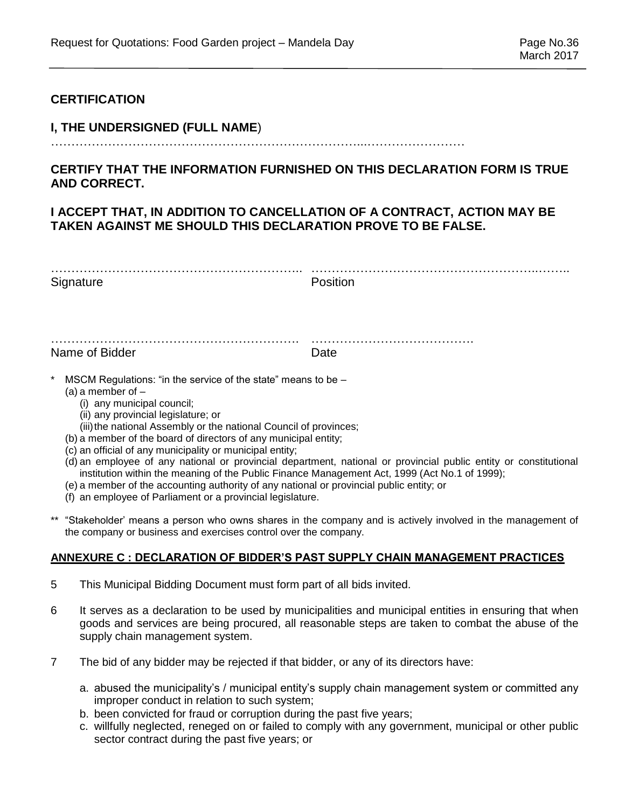# **CERTIFICATION**

# **I, THE UNDERSIGNED (FULL NAME**)

…………………………………………………………………...……………………

# **CERTIFY THAT THE INFORMATION FURNISHED ON THIS DECLARATION FORM IS TRUE AND CORRECT.**

# **I ACCEPT THAT, IN ADDITION TO CANCELLATION OF A CONTRACT, ACTION MAY BE TAKEN AGAINST ME SHOULD THIS DECLARATION PROVE TO BE FALSE.**

| Signature      | Position |
|----------------|----------|
|                |          |
|                |          |
| Name of Bidder | Date     |

- $MSCM$  Regulations: "in the service of the state" means to be
	- (a) a member of
		- (i) any municipal council;
		- (ii) any provincial legislature; or
		- (iii) the national Assembly or the national Council of provinces;
	- (b) a member of the board of directors of any municipal entity;
	- (c) an official of any municipality or municipal entity;
	- (d) an employee of any national or provincial department, national or provincial public entity or constitutional institution within the meaning of the Public Finance Management Act, 1999 (Act No.1 of 1999);
	- (e) a member of the accounting authority of any national or provincial public entity; or
	- (f) an employee of Parliament or a provincial legislature.
- \*\* "Stakeholder' means a person who owns shares in the company and is actively involved in the management of the company or business and exercises control over the company.

# **ANNEXURE C : DECLARATION OF BIDDER'S PAST SUPPLY CHAIN MANAGEMENT PRACTICES**

- 5 This Municipal Bidding Document must form part of all bids invited.
- 6 It serves as a declaration to be used by municipalities and municipal entities in ensuring that when goods and services are being procured, all reasonable steps are taken to combat the abuse of the supply chain management system.
- 7 The bid of any bidder may be rejected if that bidder, or any of its directors have:
	- a. abused the municipality's / municipal entity's supply chain management system or committed any improper conduct in relation to such system;
	- b. been convicted for fraud or corruption during the past five years;
	- c. willfully neglected, reneged on or failed to comply with any government, municipal or other public sector contract during the past five years; or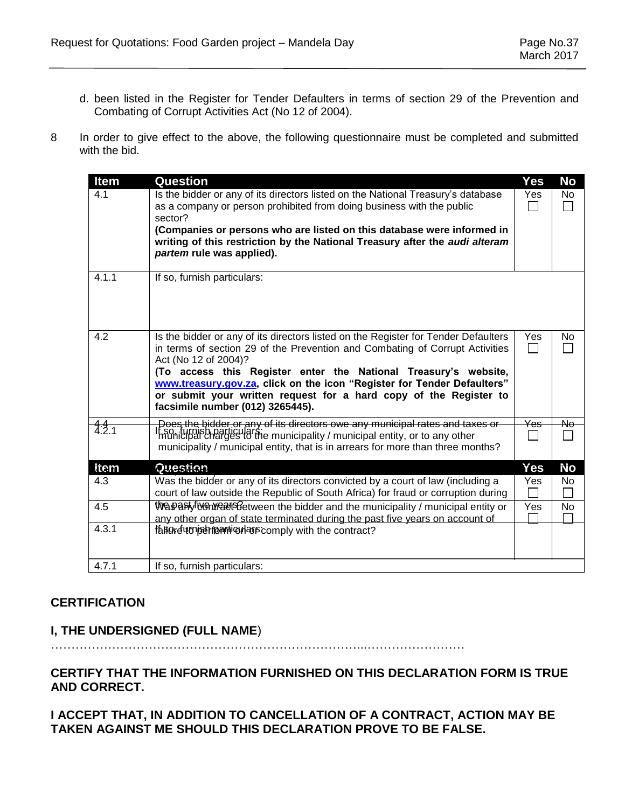- d. been listed in the Register for Tender Defaulters in terms of section 29 of the Prevention and Combating of Corrupt Activities Act (No 12 of 2004).
- 8 In order to give effect to the above, the following questionnaire must be completed and submitted with the bid.

| <b>Item</b> | Question                                                                                                                                                                                                                                                                                                                                                                                                                                          | Yes                             | No        |
|-------------|---------------------------------------------------------------------------------------------------------------------------------------------------------------------------------------------------------------------------------------------------------------------------------------------------------------------------------------------------------------------------------------------------------------------------------------------------|---------------------------------|-----------|
| 4.1         | Is the bidder or any of its directors listed on the National Treasury's database<br>as a company or person prohibited from doing business with the public<br>sector?                                                                                                                                                                                                                                                                              | Yes                             | No.<br>l. |
|             | (Companies or persons who are listed on this database were informed in<br>writing of this restriction by the National Treasury after the audi alteram<br>partem rule was applied).                                                                                                                                                                                                                                                                |                                 |           |
| 4.1.1       | If so, furnish particulars:                                                                                                                                                                                                                                                                                                                                                                                                                       |                                 |           |
| 4.2         | Is the bidder or any of its directors listed on the Register for Tender Defaulters<br>in terms of section 29 of the Prevention and Combating of Corrupt Activities<br>Act (No 12 of 2004)?<br>(To access this Register enter the National Treasury's website,<br>www.treasury.gov.za, click on the icon "Register for Tender Defaulters"<br>or submit your written request for a hard copy of the Register to<br>facsimile number (012) 3265445). | Yes                             | No        |
| 4.2.1       | Does the bidder or any of its directors owe any municipal rates and taxes or<br>theo <sub>ni</sub> typish particulars:<br>Imunicipal charges to the municipality / municipal entity, or to any other<br>municipality / municipal entity, that is in arrears for more than three months?                                                                                                                                                           | Yes<br>$\overline{\phantom{a}}$ | Nө        |
| item        | Question                                                                                                                                                                                                                                                                                                                                                                                                                                          | Yes                             | Νo        |
| 4.3         | Was the bidder or any of its directors convicted by a court of law (including a<br>court of law outside the Republic of South Africa) for fraud or corruption during                                                                                                                                                                                                                                                                              | Yes                             | No.       |
| 4.5         | Was antiven years between the bidder and the municipality / municipal entity or<br>any other organ of state terminated during the past five years on account of                                                                                                                                                                                                                                                                                   | Yes                             | No.       |
| 4.3.1       | fanore unisemportion as comply with the contract?                                                                                                                                                                                                                                                                                                                                                                                                 |                                 |           |
| 4.7.1       | If so, furnish particulars:                                                                                                                                                                                                                                                                                                                                                                                                                       |                                 |           |

# **CERTIFICATION**

# **I, THE UNDERSIGNED (FULL NAME**)

…………………………………………………………………...……………………

# **CERTIFY THAT THE INFORMATION FURNISHED ON THIS DECLARATION FORM IS TRUE AND CORRECT.**

**I ACCEPT THAT, IN ADDITION TO CANCELLATION OF A CONTRACT, ACTION MAY BE TAKEN AGAINST ME SHOULD THIS DECLARATION PROVE TO BE FALSE.**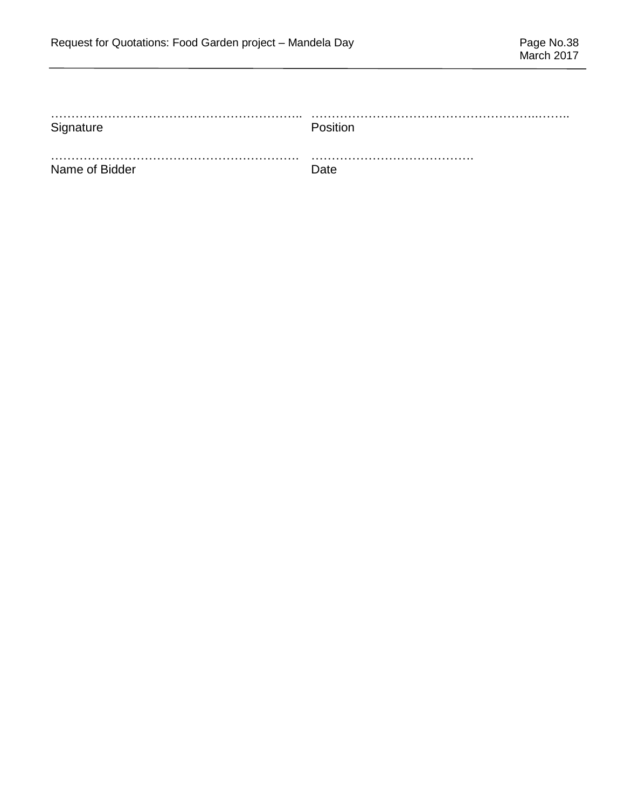| Signature      | Position    |
|----------------|-------------|
|                |             |
| Name of Bidder | <b>Date</b> |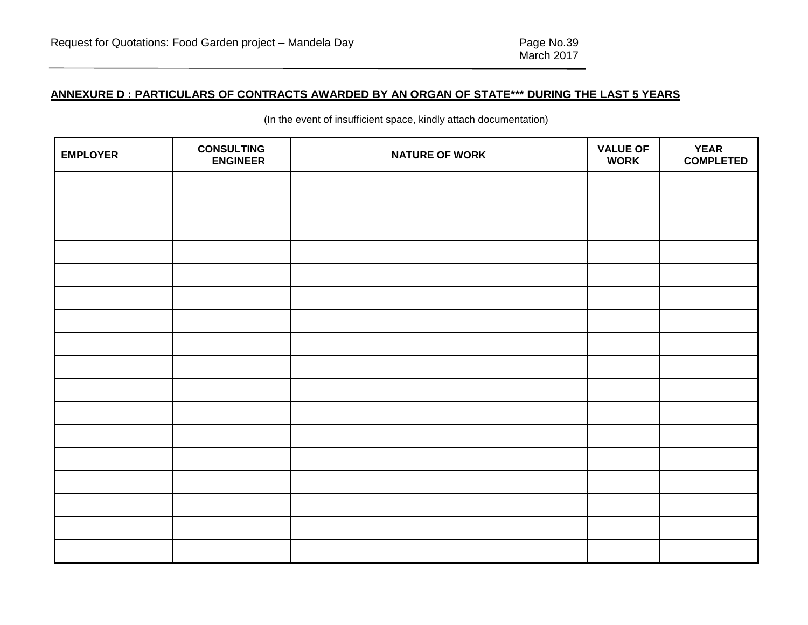# **ANNEXURE D : PARTICULARS OF CONTRACTS AWARDED BY AN ORGAN OF STATE\*\*\* DURING THE LAST 5 YEARS**

| <b>EMPLOYER</b> | <b>CONSULTING</b><br><b>ENGINEER</b> | <b>NATURE OF WORK</b> | <b>VALUE OF</b><br><b>WORK</b> | <b>YEAR</b><br><b>COMPLETED</b> |
|-----------------|--------------------------------------|-----------------------|--------------------------------|---------------------------------|
|                 |                                      |                       |                                |                                 |
|                 |                                      |                       |                                |                                 |
|                 |                                      |                       |                                |                                 |
|                 |                                      |                       |                                |                                 |
|                 |                                      |                       |                                |                                 |
|                 |                                      |                       |                                |                                 |
|                 |                                      |                       |                                |                                 |
|                 |                                      |                       |                                |                                 |
|                 |                                      |                       |                                |                                 |
|                 |                                      |                       |                                |                                 |
|                 |                                      |                       |                                |                                 |
|                 |                                      |                       |                                |                                 |
|                 |                                      |                       |                                |                                 |
|                 |                                      |                       |                                |                                 |
|                 |                                      |                       |                                |                                 |
|                 |                                      |                       |                                |                                 |
|                 |                                      |                       |                                |                                 |

(In the event of insufficient space, kindly attach documentation)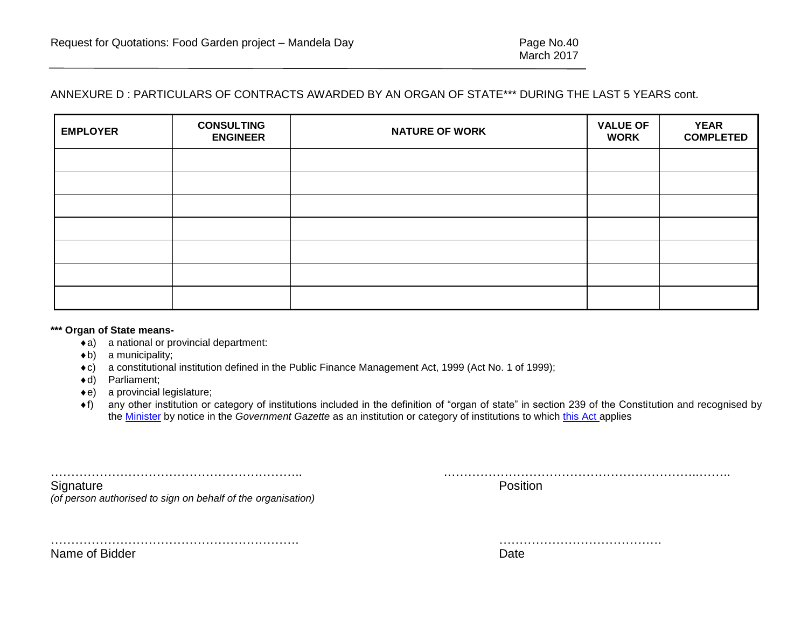# ANNEXURE D : PARTICULARS OF CONTRACTS AWARDED BY AN ORGAN OF STATE\*\*\* DURING THE LAST 5 YEARS cont.

| <b>EMPLOYER</b> | <b>CONSULTING</b><br><b>ENGINEER</b> | <b>NATURE OF WORK</b> | <b>VALUE OF</b><br><b>WORK</b> | <b>YEAR</b><br><b>COMPLETED</b> |
|-----------------|--------------------------------------|-----------------------|--------------------------------|---------------------------------|
|                 |                                      |                       |                                |                                 |
|                 |                                      |                       |                                |                                 |
|                 |                                      |                       |                                |                                 |
|                 |                                      |                       |                                |                                 |
|                 |                                      |                       |                                |                                 |
|                 |                                      |                       |                                |                                 |
|                 |                                      |                       |                                |                                 |

#### **\*\*\* Organ of State means-**

- a) a national or provincial department:
- $\triangleleft$ b) a municipality;
- c) a constitutional institution defined in the Public Finance Management Act, 1999 (Act No. 1 of 1999);
- d) Parliament;
- e) a provincial legislature;
- f) any other institution or category of institutions included in the definition of "organ of state" in section 239 of the Constitution and recognised by the [Minister](javascript:void(0);) by notice in the *Government Gazette* as an institution or category of institutions to which [this Act](javascript:void(0);) applies

…………………………………………………….. .……………………………………………………..…….. Signature **Position** 

*(of person authorised to sign on behalf of the organisation)*

……………………………………………………. ………………………………….

Name of Bidder **Date**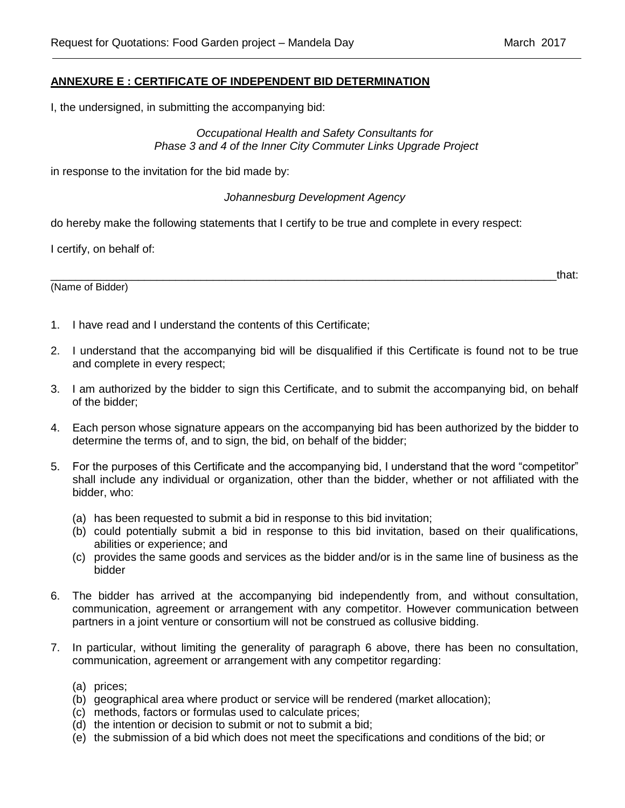# **ANNEXURE E : CERTIFICATE OF INDEPENDENT BID DETERMINATION**

I, the undersigned, in submitting the accompanying bid:

# *Occupational Health and Safety Consultants for Phase 3 and 4 of the Inner City Commuter Links Upgrade Project*

in response to the invitation for the bid made by:

# *Johannesburg Development Agency*

do hereby make the following statements that I certify to be true and complete in every respect:

I certify, on behalf of:

(Name of Bidder)

\_\_\_\_\_\_\_\_\_\_\_\_\_\_\_\_\_\_\_\_\_\_\_\_\_\_\_\_\_\_\_\_\_\_\_\_\_\_\_\_\_\_\_\_\_\_\_\_\_\_\_\_\_\_\_\_\_\_\_\_\_\_\_\_\_\_\_\_\_\_\_\_\_\_\_\_\_\_\_\_\_that:

- 1. I have read and I understand the contents of this Certificate;
- 2. I understand that the accompanying bid will be disqualified if this Certificate is found not to be true and complete in every respect;
- 3. I am authorized by the bidder to sign this Certificate, and to submit the accompanying bid, on behalf of the bidder;
- 4. Each person whose signature appears on the accompanying bid has been authorized by the bidder to determine the terms of, and to sign, the bid, on behalf of the bidder;
- 5. For the purposes of this Certificate and the accompanying bid, I understand that the word "competitor" shall include any individual or organization, other than the bidder, whether or not affiliated with the bidder, who:
	- (a) has been requested to submit a bid in response to this bid invitation;
	- (b) could potentially submit a bid in response to this bid invitation, based on their qualifications, abilities or experience; and
	- (c) provides the same goods and services as the bidder and/or is in the same line of business as the bidder
- 6. The bidder has arrived at the accompanying bid independently from, and without consultation, communication, agreement or arrangement with any competitor. However communication between partners in a joint venture or consortium will not be construed as collusive bidding.
- 7. In particular, without limiting the generality of paragraph 6 above, there has been no consultation, communication, agreement or arrangement with any competitor regarding:
	- (a) prices;
	- (b) geographical area where product or service will be rendered (market allocation);
	- (c) methods, factors or formulas used to calculate prices;
	- (d) the intention or decision to submit or not to submit a bid;
	- (e) the submission of a bid which does not meet the specifications and conditions of the bid; or